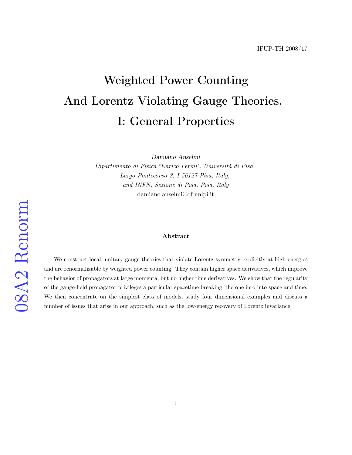# Weighted Power Counting And Lorentz Violating Gauge Theories. I: General Properties

Damiano Anselmi

Dipartimento di Fisica "Enrico Fermi", Università di Pisa, Largo Pontecorvo 3, I-56127 Pisa, Italy, and INFN, Sezione di Pisa, Pisa, Italy damiano.anselmi@df.unipi.it

#### Abstract

We construct local, unitary gauge theories that violate Lorentz symmetry explicitly at high energies and are renormalizable by weighted power counting. They contain higher space derivatives, which improve the behavior of propagators at large momenta, but no higher time derivatives. We show that the regularity of the gauge-field propagator privileges a particular spacetime breaking, the one into into space and time. We then concentrate on the simplest class of models, study four dimensional examples and discuss a number of issues that arise in our approach, such as the low-energy recovery of Lorentz invariance.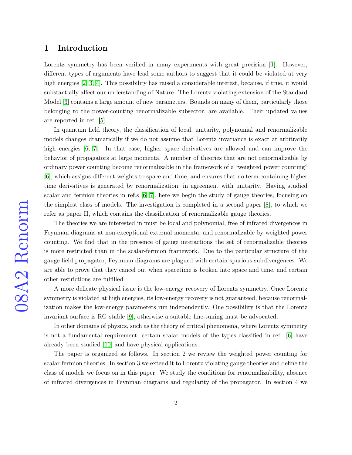#### 1 Introduction

Lorentz symmetry has been verified in many experiments with great precision [\[1\]](#page-29-0). However, different types of arguments have lead some authors to suggest that it could be violated at very high energies [\[2,](#page-29-1) [3,](#page-29-2) [4\]](#page-29-3). This possibility has raised a considerable interest, because, if true, it would substantially affect our understanding of Nature. The Lorentz violating extension of the Standard Model [\[3\]](#page-29-2) contains a large amount of new parameters. Bounds on many of them, particularly those belonging to the power-counting renormalizable subsector, are available. Their updated values are reported in ref. [\[5\]](#page-29-4).

In quantum field theory, the classification of local, unitarity, polynomial and renormalizable models changes dramatically if we do not assume that Lorentz invariance is exact at arbitrarily high energies [\[6,](#page-29-5) [7\]](#page-30-0). In that case, higher space derivatives are allowed and can improve the behavior of propagators at large momenta. A number of theories that are not renormalizable by ordinary power counting become renormalizable in the framework of a "weighted power counting" [\[6\]](#page-29-5), which assigns different weights to space and time, and ensures that no term containing higher time derivatives is generated by renormalization, in agreement with unitarity. Having studied scalar and fermion theories in ref.s [\[6,](#page-29-5) [7\]](#page-30-0), here we begin the study of gauge theories, focusing on the simplest class of models. The investigation is completed in a second paper [\[8\]](#page-30-1), to which we refer as paper II, which contains the classification of renormalizable gauge theories.

The theories we are interested in must be local and polynomial, free of infrared divergences in Feynman diagrams at non-exceptional external momenta, and renormalizable by weighted power counting. We find that in the presence of gauge interactions the set of renormalizable theories is more restricted than in the scalar-fermion framework. Due to the particular structure of the gauge-field propagator, Feynman diagrams are plagued with certain spurious subdivergences. We are able to prove that they cancel out when spacetime is broken into space and time, and certain other restrictions are fulfilled.

A more delicate physical issue is the low-energy recovery of Lorentz symmetry. Once Lorentz symmetry is violated at high energies, its low-energy recovery is not guaranteed, because renormalization makes the low-energy parameters run independently. One possibility is that the Lorentz invariant surface is RG stable [\[9\]](#page-30-2), otherwise a suitable fine-tuning must be advocated.

In other domains of physics, such as the theory of critical phenomena, where Lorentz symmetry is not a fundamental requirement, certain scalar models of the types classified in ref. [\[6\]](#page-29-5) have already been studied [\[10\]](#page-30-3) and have physical applications.

The paper is organized as follows. In section 2 we review the weighted power counting for scalar-fermion theories. In section 3 we extend it to Lorentz violating gauge theories and define the class of models we focus on in this paper. We study the conditions for renormalizability, absence of infrared divergences in Feynman diagrams and regularity of the propagator. In section 4 we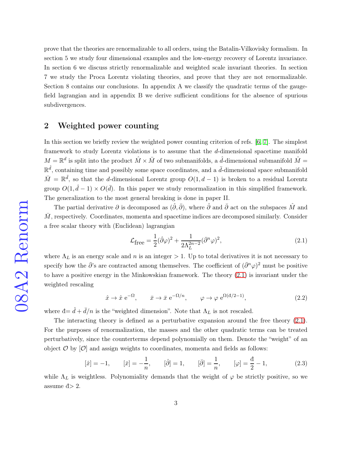prove that the theories are renormalizable to all orders, using the Batalin-Vilkovisky formalism. In section 5 we study four dimensional examples and the low-energy recovery of Lorentz invariance. In section 6 we discuss strictly renormalizable and weighted scale invariant theories. In section 7 we study the Proca Lorentz violating theories, and prove that they are not renormalizable. Section 8 contains our conclusions. In appendix A we classify the quadratic terms of the gaugefield lagrangian and in appendix B we derive sufficient conditions for the absence of spurious subdivergences.

### 2 Weighted power counting

In this section we briefly review the weighted power counting criterion of refs. [\[6,](#page-29-5) [7\]](#page-30-0). The simplest framework to study Lorentz violations is to assume that the d-dimensional spacetime manifold  $M = \mathbb{R}^d$  is split into the product  $\hat{M} \times \bar{M}$  of two submanifolds, a  $\hat{d}$ -dimensional submanifold  $\hat{M} =$  $\mathbb{R}^{\hat{d}}$ , containing time and possibly some space coordinates, and a  $\bar{d}$ -dimensional space submanifold  $\bar{M} = \mathbb{R}^{\bar{d}}$ , so that the d-dimensional Lorentz group  $O(1, d - 1)$  is broken to a residual Lorentz group  $O(1, \hat{d} - 1) \times O(\bar{d})$ . In this paper we study renormalization in this simplified framework. The generalization to the most general breaking is done in paper II.

The partial derivative  $\partial$  is decomposed as  $(\hat{\partial}, \bar{\partial})$ , where  $\hat{\partial}$  and  $\bar{\partial}$  act on the subspaces  $\hat{M}$  and  $\bar{M}$ , respectively. Coordinates, momenta and spacetime indices are decomposed similarly. Consider a free scalar theory with (Euclidean) lagrangian

<span id="page-2-0"></span>
$$
\mathcal{L}_{\text{free}} = \frac{1}{2} (\hat{\partial} \varphi)^2 + \frac{1}{2\Lambda_L^{2n-2}} (\bar{\partial}^n \varphi)^2, \tag{2.1}
$$

where  $\Lambda_L$  is an energy scale and n is an integer  $> 1$ . Up to total derivatives it is not necessary to specify how the  $\bar{\partial}$ 's are contracted among themselves. The coefficient of  $(\bar{\partial}^n\varphi)^2$  must be positive to have a positive energy in the Minkowskian framework. The theory [\(2.1\)](#page-2-0) is invariant under the weighted rescaling

$$
\hat{x} \to \hat{x} e^{-\Omega}, \qquad \bar{x} \to \bar{x} e^{-\Omega/n}, \qquad \varphi \to \varphi e^{\Omega(\mathrm{d}/2 - 1)}, \tag{2.2}
$$

where  $\mathbf{d} = \hat{d} + \bar{d}/n$  is the "weighted dimension". Note that  $\Lambda_L$  is not rescaled.

The interacting theory is defined as a perturbative expansion around the free theory  $(2.1)$ . For the purposes of renormalization, the masses and the other quadratic terms can be treated perturbatively, since the counterterms depend polynomially on them. Denote the "weight" of an object  $\mathcal{O}$  by  $\mathcal{O}$  and assign weights to coordinates, momenta and fields as follows:

$$
[\hat{x}] = -1, \qquad [\bar{x}] = -\frac{1}{n}, \qquad [\hat{\partial}] = 1, \qquad [\bar{\partial}] = \frac{1}{n}, \qquad [\varphi] = \frac{\mathrm{d}}{2} - 1, \tag{2.3}
$$

while  $\Lambda_L$  is weightless. Polynomiality demands that the weight of  $\varphi$  be strictly positive, so we assume  $d > 2$ .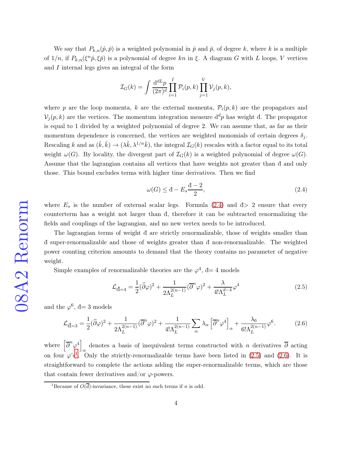We say that  $P_{k,n}(\hat{p},\bar{p})$  is a weighted polynomial in  $\hat{p}$  and  $\bar{p}$ , of degree k, where k is a multiple of  $1/n$ , if  $P_{k,n}(\xi^n\hat{p},\xi\bar{p})$  is a polynomial of degree kn in  $\xi$ . A diagram G with L loops, V vertices and I internal legs gives an integral of the form

$$
\mathcal{I}_G(k) = \int \frac{\mathrm{d}^{d} L p}{(2\pi)^d} \prod_{i=1}^I \mathcal{P}_i(p,k) \prod_{j=1}^V \mathcal{V}_j(p,k),
$$

where p are the loop momenta, k are the external momenta,  $\mathcal{P}_i(p,k)$  are the propagators and  $\mathcal{V}_j(p,k)$  are the vertices. The momentum integration measure  $d^dp$  has weight đ. The propagator is equal to 1 divided by a weighted polynomial of degree 2. We can assume that, as far as their momentum dependence is concerned, the vertices are weighted monomials of certain degrees  $\delta_j$ . Rescaling k and as  $(\hat{k}, \bar{k}) \to (\lambda \hat{k}, \lambda^{1/n} \bar{k})$ , the integral  $\mathcal{I}_G(k)$  rescales with a factor equal to its total weight  $\omega(G)$ . By locality, the divergent part of  $\mathcal{I}_G(k)$  is a weighted polynomial of degree  $\omega(G)$ . Assume that the lagrangian contains all vertices that have weights not greater than đ and only those. This bound excludes terms with higher time derivatives. Then we find

<span id="page-3-0"></span>
$$
\omega(G) \le d - E_s \frac{d-2}{2},\tag{2.4}
$$

where  $E_s$  is the number of external scalar legs. Formula [\(2.4\)](#page-3-0) and  $\bar{d}$  > 2 ensure that every counterterm has a weight not larger than đ, therefore it can be subtracted renormalizing the fields and couplings of the lagrangian, and no new vertex needs to be introduced.

The lagrangian terms of weight đ are strictly renormalizable, those of weights smaller than đ super-renormalizable and those of weights greater than đ non-renormalizable. The weighted power counting criterion amounts to demand that the theory contains no parameter of negative weight.

Simple examples of renormalizable theories are the  $\varphi^4$ ,  $d=4$  models

<span id="page-3-2"></span>
$$
\mathcal{L}_{\vec{d}=4} = \frac{1}{2} (\widehat{\partial}\varphi)^2 + \frac{1}{2\Lambda_L^{2(n-1)}} (\overline{\partial}^n \varphi)^2 + \frac{\lambda}{4! \Lambda_L^{d-4}} \varphi^4
$$
\n(2.5)

and the  $\varphi^6$ , đ= 3 models

<span id="page-3-3"></span>
$$
\mathcal{L}_{\vec{d}=3} = \frac{1}{2} (\widehat{\partial}\varphi)^2 + \frac{1}{2\Lambda_L^{2(n-1)}} (\overline{\partial}^n \varphi)^2 + \frac{1}{4! \Lambda_L^{2(n-1)}} \sum_{\alpha} \lambda_{\alpha} \left[ \overline{\partial}^n \varphi^4 \right]_{\alpha} + \frac{\lambda_6}{6! \Lambda_L^{2(n-1)}} \varphi^6. \tag{2.6}
$$

where  $\left[\overline{\partial}^n \varphi^4\right]$ denotes a basis of inequivalent terms constructed with n derivatives  $\partial$  acting  $\alpha$ on four  $\varphi$ 's<sup>[1](#page-3-1)</sup>. Only the strictly-renormalizable terms have been listed in [\(2.5\)](#page-3-2) and [\(2.6\)](#page-3-3). It is straightforward to complete the actions adding the super-renormalizable terms, which are those that contain fewer derivatives and/or  $\varphi$ -powers.

<span id="page-3-1"></span><sup>&</sup>lt;sup>1</sup>Because of  $O(\overline{d})$ -invariance, these exist no such terms if n is odd.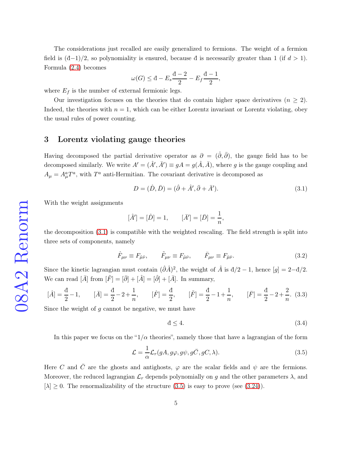The considerations just recalled are easily generalized to fermions. The weight of a fermion field is  $(\frac{d-1}{2})$ , so polynomiality is ensured, because d is necessarily greater than 1 (if  $d > 1$ ). Formula [\(2.4\)](#page-3-0) becomes

$$
\omega(G) \le d - E_s \frac{d-2}{2} - E_f \frac{d-1}{2},
$$

where  $E_f$  is the number of external fermionic legs.

Our investigation focuses on the theories that do contain higher space derivatives  $(n \geq 2)$ . Indeed, the theories with  $n = 1$ , which can be either Lorentz invariant or Lorentz violating, obey the usual rules of power counting.

#### 3 Lorentz violating gauge theories

Having decomposed the partial derivative operator as  $\partial = (\hat{\partial}, \bar{\partial})$ , the gauge field has to be decomposed similarly. We write  $A' = (\hat{A}', \bar{A}') \equiv gA = g(\hat{A}, \bar{A})$ , where g is the gauge coupling and  $A_{\mu} = A_{\mu}^{a} T^{a}$ , with  $T^{a}$  anti-Hermitian. The covariant derivative is decomposed as

<span id="page-4-0"></span>
$$
D = (\hat{D}, \bar{D}) = (\hat{\partial} + \hat{A}', \bar{\partial} + \bar{A}'). \tag{3.1}
$$

With the weight assignments

$$
[\hat{A}'] = [\hat{D}] = 1, \qquad [\bar{A}'] = [\bar{D}] = \frac{1}{n},
$$

the decomposition [\(3.1\)](#page-4-0) is compatible with the weighted rescaling. The field strength is split into three sets of components, namely

$$
\hat{F}_{\mu\nu} \equiv F_{\hat{\mu}\hat{\nu}}, \qquad \tilde{F}_{\mu\nu} \equiv F_{\hat{\mu}\bar{\nu}}, \qquad \bar{F}_{\mu\nu} \equiv F_{\bar{\mu}\bar{\nu}}.
$$
\n(3.2)

Since the kinetic lagrangian must contain  $(\hat{\partial}\hat{A})^2$ , the weight of  $\hat{A}$  is  $d/2 - 1$ , hence  $[g] = 2 - d/2$ . We can read  $[\bar{A}]$  from  $[\tilde{F}] = [\bar{\partial}] + [\hat{A}] = [\hat{\partial}] + [\bar{A}].$  In summary,

$$
[\hat{A}] = \frac{d}{2} - 1, \qquad [\bar{A}] = \frac{d}{2} - 2 + \frac{1}{n}, \qquad [\hat{F}] = \frac{d}{2}, \qquad [\tilde{F}] = \frac{d}{2} - 1 + \frac{1}{n}, \qquad [\bar{F}] = \frac{d}{2} - 2 + \frac{2}{n}. \tag{3.3}
$$

Since the weight of  $q$  cannot be negative, we must have

<span id="page-4-2"></span>
$$
\mathbf{d} \le 4. \tag{3.4}
$$

In this paper we focus on the " $1/\alpha$  theories", namely those that have a lagrangian of the form

<span id="page-4-1"></span>
$$
\mathcal{L} = \frac{1}{\alpha} \mathcal{L}_r(gA, g\varphi, g\psi, g\bar{C}, gC, \lambda).
$$
 (3.5)

Here C and  $\overline{C}$  are the ghosts and antighosts,  $\varphi$  are the scalar fields and  $\psi$  are the fermions. Moreover, the reduced lagrangian  $\mathcal{L}_r$  depends polynomially on g and the other parameters  $\lambda$ , and  $[\lambda] \geq 0$ . The renormalizability of the structure [\(3.5\)](#page-4-1) is easy to prove (see [\(3.24\)](#page-10-0)).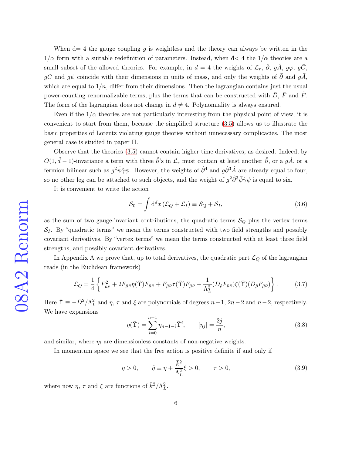When  $d=4$  the gauge coupling g is weightless and the theory can always be written in the  $1/\alpha$  form with a suitable redefinition of parameters. Instead, when  $d < 4$  the  $1/\alpha$  theories are a small subset of the allowed theories. For example, in  $d = 4$  the weights of  $\mathcal{L}_r$ ,  $\hat{\partial}$ ,  $g\hat{A}$ ,  $g\varphi$ ,  $g\bar{C}$ , gC and g $\psi$  coincide with their dimensions in units of mass, and only the weights of  $\bar{\partial}$  and  $g\bar{A}$ , which are equal to  $1/n$ , differ from their dimensions. Then the lagrangian contains just the usual power-counting renormalizable terms, plus the terms that can be constructed with  $\bar{D}$ ,  $\bar{F}$  and  $\bar{F}$ . The form of the lagrangian does not change in  $d \neq 4$ . Polynomiality is always ensured.

Even if the  $1/\alpha$  theories are not particularly interesting from the physical point of view, it is convenient to start from them, because the simplified structure [\(3.5\)](#page-4-1) allows us to illustrate the basic properties of Lorentz violating gauge theories without unnecessary complicacies. The most general case is studied in paper II.

Observe that the theories [\(3.5\)](#page-4-1) cannot contain higher time derivatives, as desired. Indeed, by  $O(1, \hat{d}-1)$ -invariance a term with three  $\hat{\partial}$ 's in  $\mathcal{L}_r$  must contain at least another  $\hat{\partial}$ , or a  $g\hat{A}$ , or a fermion bilinear such as  $g^2\bar{\psi}\hat{\gamma}\psi$ . However, the weights of  $\hat{\partial}^4$  and  $g\hat{\partial}^3\hat{A}$  are already equal to four, so no other leg can be attached to such objects, and the weight of  $g^2\hat{\partial}^3\bar{\psi}\hat{\gamma}\psi$  is equal to six.

It is convenient to write the action

<span id="page-5-2"></span>
$$
S_0 = \int d^d x \left( \mathcal{L}_Q + \mathcal{L}_I \right) \equiv S_Q + S_I,
$$
\n(3.6)

as the sum of two gauge-invariant contributions, the quadratic terms  $\mathcal{S}_{Q}$  plus the vertex terms  $S_I$ . By "quadratic terms" we mean the terms constructed with two field strengths and possibly covariant derivatives. By "vertex terms" we mean the terms constructed with at least three field strengths, and possibly covariant derivatives.

In Appendix A we prove that, up to total derivatives, the quadratic part  $\mathcal{L}_Q$  of the lagrangian reads (in the Euclidean framework)

<span id="page-5-0"></span>
$$
\mathcal{L}_Q = \frac{1}{4} \left\{ F_{\hat{\mu}\hat{\nu}}^2 + 2F_{\hat{\mu}\bar{\nu}} \eta(\bar{\Upsilon}) F_{\hat{\mu}\bar{\nu}} + F_{\bar{\mu}\bar{\nu}} \tau(\bar{\Upsilon}) F_{\bar{\mu}\bar{\nu}} + \frac{1}{\Lambda_L^2} (D_{\hat{\rho}} F_{\bar{\mu}\bar{\nu}}) \xi(\bar{\Upsilon}) (D_{\hat{\rho}} F_{\bar{\mu}\bar{\nu}}) \right\}.
$$
 (3.7)

Here  $\overline{\Upsilon} \equiv -\overline{D}^2/\Lambda_L^2$  and  $\eta$ ,  $\tau$  and  $\xi$  are polynomials of degrees  $n-1$ ,  $2n-2$  and  $n-2$ , respectively. We have expansions

$$
\eta(\bar{\Upsilon}) = \sum_{i=0}^{n-1} \eta_{n-1-i} \bar{\Upsilon}^i, \qquad [\eta_j] = \frac{2j}{n}, \qquad (3.8)
$$

and similar, where  $\eta_i$  are dimensionless constants of non-negative weights.

In momentum space we see that the free action is positive definite if and only if

<span id="page-5-1"></span>
$$
\eta > 0, \qquad \tilde{\eta} \equiv \eta + \frac{\bar{k}^2}{\Lambda_L^2} \xi > 0, \qquad \tau > 0,\tag{3.9}
$$

where now  $\eta$ ,  $\tau$  and  $\xi$  are functions of  $\bar{k}^2/\Lambda_L^2$ .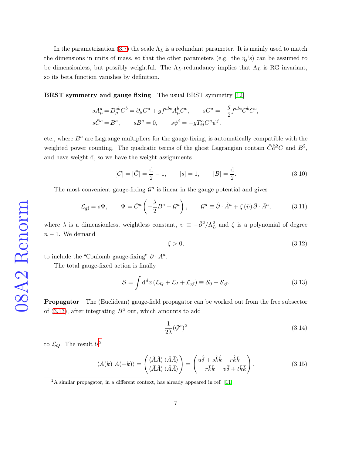In the parametrization [\(3.7\)](#page-5-0) the scale  $\Lambda_L$  is a redundant parameter. It is mainly used to match the dimensions in units of mass, so that the other parameters (e.g. the  $\eta_j$ 's) can be assumed to be dimensionless, but possibly weightful. The  $\Lambda_L$ -redundancy implies that  $\Lambda_L$  is RG invariant, so its beta function vanishes by definition.

BRST symmetry and gauge fixing The usual BRST symmetry [\[12\]](#page-30-4)

$$
\begin{aligned} sA_\mu^a&=D_\mu^{ab}C^b=\partial_\mu C^a+gf^{abc}A_\mu^bC^c, \qquad sC^a=-\frac{g}{2}f^{abc}C^bC^c,\\ s\bar{C}^a&=B^a, \qquad sB^a=0, \qquad s\psi^i=-gT^a_{ij}C^a\psi^j, \end{aligned}
$$

etc., where  $B^a$  are Lagrange multipliers for the gauge-fixing, is automatically compatible with the weighted power counting. The quadratic terms of the ghost Lagrangian contain  $\bar{C}\hat{\partial}^2C$  and  $B^2$ , and have weight đ, so we have the weight assignments

$$
[C] = [\bar{C}] = \frac{d}{2} - 1, \qquad [s] = 1, \qquad [B] = \frac{d}{2}.
$$
\n(3.10)

The most convenient gauge-fixing  $\mathcal{G}^a$  is linear in the gauge potential and gives

<span id="page-6-2"></span>
$$
\mathcal{L}_{\text{gf}} = s\Psi, \qquad \Psi = \bar{C}^a \left( -\frac{\lambda}{2} B^a + \mathcal{G}^a \right), \qquad \mathcal{G}^a \equiv \hat{\partial} \cdot \hat{A}^a + \zeta(\bar{v}) \bar{\partial} \cdot \bar{A}^a, \tag{3.11}
$$

where  $\lambda$  is a dimensionless, weightless constant,  $\bar{v} \equiv -\bar{\partial}^2/\Lambda_L^2$  and  $\zeta$  is a polynomial of degree  $n-1$ . We demand

<span id="page-6-5"></span>
$$
\zeta > 0,\tag{3.12}
$$

to include the "Coulomb gauge-fixing"  $\bar{\partial} \cdot \bar{A}^a$ .

The total gauge-fixed action is finally

<span id="page-6-0"></span>
$$
S = \int d^d x \left( \mathcal{L}_Q + \mathcal{L}_I + \mathcal{L}_{gf} \right) \equiv S_0 + S_{gf}.
$$
 (3.13)

**Propagator** The (Euclidean) gauge-field propagator can be worked out from the free subsector of [\(3.13\)](#page-6-0), after integrating  $B^a$  out, which amounts to add

<span id="page-6-3"></span>
$$
\frac{1}{2\lambda} (\mathcal{G}^a)^2 \tag{3.14}
$$

to  $\mathcal{L}_Q$ . The result is<sup>[2](#page-6-1)</sup>

<span id="page-6-4"></span>
$$
\langle A(k) \; A(-k) \rangle = \begin{pmatrix} \langle \hat{A} \hat{A} \rangle \; \langle \hat{A} \bar{A} \rangle \\ \langle \bar{A} \hat{A} \rangle \; \langle \bar{A} \bar{A} \rangle \end{pmatrix} = \begin{pmatrix} u\hat{\delta} + s\hat{k}\hat{k} & r\hat{k}\bar{k} \\ r\bar{k}\hat{k} & v\bar{\delta} + t\bar{k}\bar{k} \end{pmatrix}, \tag{3.15}
$$

<span id="page-6-1"></span> $2A$  similar propagator, in a different context, has already appeared in ref. [\[11\]](#page-30-5).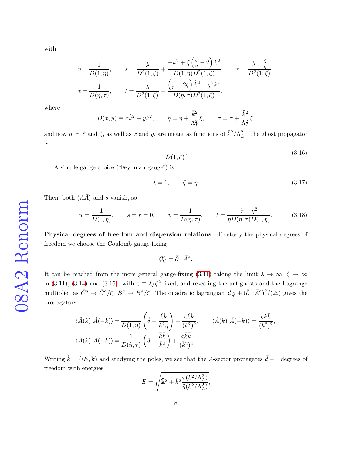with

$$
u = \frac{1}{D(1,\eta)}, \qquad s = \frac{\lambda}{D^2(1,\zeta)} + \frac{-\hat{k}^2 + \zeta(\frac{\zeta}{\eta} - 2)\bar{k}^2}{D(1,\eta)D^2(1,\zeta)}, \qquad r = \frac{\lambda - \frac{\zeta}{\eta}}{D^2(1,\zeta)},
$$

$$
v = \frac{1}{D(\tilde{\eta},\tau)}, \qquad t = \frac{\lambda}{D^2(1,\zeta)} + \frac{(\frac{\tilde{\tau}}{\eta} - 2\zeta)\hat{k}^2 - \zeta^2 \bar{k}^2}{D(\tilde{\eta},\tau)D^2(1,\zeta)},
$$

where

$$
D(x,y) \equiv x\hat{k}^2 + y\bar{k}^2, \qquad \tilde{\eta} = \eta + \frac{\bar{k}^2}{\Lambda_L^2}\xi, \qquad \tilde{\tau} = \tau + \frac{\hat{k}^2}{\Lambda_L^2}\xi,
$$

and now  $\eta$ ,  $\tau$ ,  $\xi$  and  $\zeta$ , as well as x and y, are meant as functions of  $\bar{k}^2/\Lambda_L^2$ . The ghost propagator is

<span id="page-7-0"></span>
$$
\frac{1}{D(1,\zeta)}.\t(3.16)
$$

,

A simple gauge choice ("Feynman gauge") is

<span id="page-7-1"></span>
$$
\lambda = 1, \qquad \zeta = \eta. \tag{3.17}
$$

Then, both  $\langle \hat{A}\bar{A}\rangle$  and s vanish, so

<span id="page-7-2"></span>
$$
u = \frac{1}{D(1,\eta)}, \qquad s = r = 0, \qquad v = \frac{1}{D(\tilde{\eta},\tau)}, \qquad t = \frac{\tilde{\tau} - \eta^2}{\eta D(\tilde{\eta},\tau)D(1,\eta)}.
$$
 (3.18)

Physical degrees of freedom and dispersion relations To study the physical degrees of freedom we choose the Coulomb gauge-fixing

$$
\mathcal{G}_{\mathcal{C}}^a = \bar{\partial} \cdot \bar{A}^a.
$$

It can be reached from the more general gauge-fixing [\(3.11\)](#page-6-2) taking the limit  $\lambda \to \infty$ ,  $\zeta \to \infty$ in [\(3.11\)](#page-6-2), [\(3.14\)](#page-6-3) and [\(3.15\)](#page-6-4), with  $\zeta \equiv \lambda/\zeta^2$  fixed, and rescaling the antighosts and the Lagrange multiplier as  $\bar{C}^a \to \bar{C}^a/\zeta$ ,  $B^a \to B^a/\zeta$ . The quadratic lagrangian  $\mathcal{L}_Q + (\bar{\partial} \cdot \bar{A}^a)^2/(2\zeta)$  gives the propagators

$$
\langle \hat{A}(k) \ \hat{A}(-k) \rangle = \frac{1}{D(1,\eta)} \left( \hat{\delta} + \frac{\hat{k}\hat{k}}{\bar{k}^2 \eta} \right) + \frac{\varsigma \hat{k}\hat{k}}{(\bar{k}^2)^2}, \qquad \langle \hat{A}(k) \ \bar{A}(-k) \rangle = \frac{\varsigma \hat{k}\bar{k}}{(\bar{k}^2)^2}
$$

$$
\langle \bar{A}(k) \ \bar{A}(-k) \rangle = \frac{1}{D(\tilde{\eta}, \tau)} \left( \bar{\delta} - \frac{\bar{k}\bar{k}}{\bar{k}^2} \right) + \frac{\varsigma \bar{k}\bar{k}}{(\bar{k}^2)^2}.
$$

Writing  $\hat{k} = (iE, \hat{k})$  and studying the poles, we see that the  $\overline{A}$ -sector propagates  $\overline{d} - 1$  degrees of freedom with energies

$$
E=\sqrt{\hat{\mathbf{k}}^2+\bar{k}^2\frac{\tau(\bar{k}^2/\Lambda_L^2)}{\tilde{\eta}(\bar{k}^2/\Lambda_L^2)}},
$$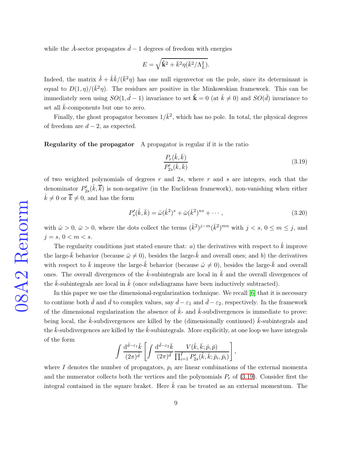while the  $\hat{A}$ -sector propagates  $\hat{d}$  − 1 degrees of freedom with energies

$$
E=\sqrt{\hat{\mathbf{k}}^2+\bar{k}^2\eta(\bar{k}^2/\Lambda_L^2)}.
$$

Indeed, the matrix  $\hat{\delta} + \hat{k}\hat{k}/(\bar{k}^2\eta)$  has one null eigenvector on the pole, since its determinant is equal to  $D(1, \eta)/(\bar{k}^2 \eta)$ . The residues are positive in the Minkowskian framework. This can be immediately seen using  $SO(1, \hat{d}-1)$  invariance to set  $\hat{\mathbf{k}} = 0$  (at  $\bar{k} \neq 0$ ) and  $SO(\bar{d})$  invariance to set all  $\bar{k}$ -components but one to zero.

Finally, the ghost propagator becomes  $1/\bar{k}^2$ , which has no pole. In total, the physical degrees of freedom are  $d-2$ , as expected.

Regularity of the propagator A propagator is regular if it is the ratio

<span id="page-8-0"></span>
$$
\frac{P_r(\hat{k}, \bar{k})}{P'_{2s}(\hat{k}, \bar{k})} \tag{3.19}
$$

of two weighted polynomials of degrees  $r$  and  $2s$ , where  $r$  and  $s$  are integers, such that the denominator  $P_2'$  $2s'_{2s}(\hat{k}, \overline{k})$  is non-negative (in the Euclidean framework), non-vanishing when either  $\hat{k} \neq 0$  or  $\overline{k} \neq 0$ , and has the form

<span id="page-8-1"></span>
$$
P'_{s}(\hat{k}, \bar{k}) = \hat{\omega}(\hat{k}^2)^s + \bar{\omega}(\bar{k}^2)^{ns} + \cdots, \qquad (3.20)
$$

with  $\hat{\omega} > 0$ ,  $\bar{\omega} > 0$ , where the dots collect the terms  $(\hat{k}^2)^{j-m}(\bar{k}^2)^{mn}$  with  $j < s, 0 \le m \le j$ , and  $j = s, 0 < m < s.$ 

The regularity conditions just stated ensure that: a) the derivatives with respect to  $\hat{k}$  improve the large- $\bar{k}$  behavior (because  $\bar{\omega} \neq 0$ ), besides the large- $\hat{k}$  and overall ones; and b) the derivatives with respect to  $\bar{k}$  improve the large- $\hat{k}$  behavior (because  $\hat{\omega} \neq 0$ ), besides the large- $\bar{k}$  and overall ones. The overall divergences of the  $k$ -subintegrals are local in  $\overline{k}$  and the overall divergences of the  $\bar{k}$ -subintegrals are local in  $\bar{k}$  (once subdiagrams have been inductively subtracted).

In this paper we use the dimensional-regularization technique. We recall [\[6\]](#page-29-5) that it is necessary to continue both  $\hat{d}$  and  $\bar{d}$  to complex values, say  $\hat{d} - \varepsilon_1$  and  $\bar{d} - \varepsilon_2$ , respectively. In the framework of the dimensional regularization the absence of  $\hat{k}$ - and  $\bar{k}$ -subdivergences is immediate to prove: being local, the  $\hat{k}$ -subdivergences are killed by the (dimensionally continued)  $\bar{k}$ -subintegrals and the  $\bar{k}$ -subdivergences are killed by the  $\hat{k}$ -subintegrals. More explicitly, at one loop we have integrals of the form

$$
\int \frac{\mathrm{d}^{\hat{d}-\varepsilon_1}\hat{k}}{(2\pi)^{\hat{d}}} \left[ \int \frac{\mathrm{d}^{\bar{d}-\varepsilon_2}\bar{k}}{(2\pi)^{\bar{d}}} \frac{V(\hat{k},\bar{k};\hat{p},\bar{p})}{\prod_{i=1}^{I}P'_{2s}(\hat{k},\bar{k};\hat{p}_i,\bar{p}_i)} \right],
$$

where I denotes the number of propagators,  $p_i$  are linear combinations of the external momenta and the numerator collects both the vertices and the polynomials  $P_r$  of [\(3.19\)](#page-8-0). Consider first the integral contained in the square braket. Here  $\hat{k}$  can be treated as an external momentum. The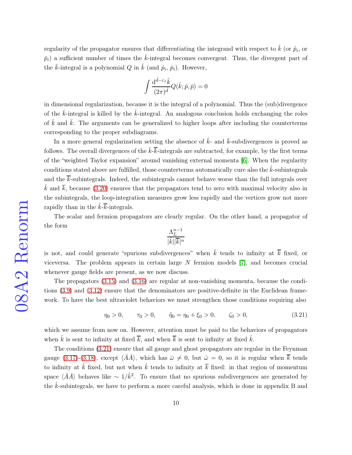regularity of the propagator ensures that differentiating the integrand with respect to  $\hat{k}$  (or  $\hat{p}_i$ , or  $\bar{p}_i$ ) a sufficient number of times the  $\bar{k}$ -integral becomes convergent. Thus, the divergent part of the  $\bar{k}$ -integral is a polynomial Q in  $\hat{k}$  (and  $\hat{p}_i$ ,  $\bar{p}_i$ ). However,

$$
\int \frac{\mathrm{d}^{\hat{d}-\varepsilon_1} \hat{k}}{(2\pi)^{\hat{d}}} Q(\hat{k};\hat{p},\bar{p}) = 0
$$

in dimensional regularization, because it is the integral of a polynomial. Thus the (sub)divergence of the  $\bar{k}$ -integral is killed by the  $\hat{k}$ -integral. An analogous conclusion holds exchanging the roles of  $\hat{k}$  and  $\bar{k}$ . The arguments can be generalized to higher loops after including the counterterms corresponding to the proper subdiagrams.

In a more general regularization setting the absence of  $\hat{k}$ - and  $\bar{k}$ -subdivergences is proved as follows. The overall divergences of the  $\hat{k}$ - $\overline{k}$ -integrals are subtracted, for example, by the first terms of the "weighted Taylor expansion" around vanishing external momenta [\[6\]](#page-29-5). When the regularity conditions stated above are fulfilled, those counterterms automatically cure also the  $k$ -subintegrals and the  $\overline{k}$ -subintegrals. Indeed, the subintegrals cannot behave worse than the full integrals over  $\hat{k}$  and  $\overline{k}$ , because [\(3.20\)](#page-8-1) ensures that the propagators tend to zero with maximal velocity also in the subintegrals, the loop-integration measures grow less rapidly and the vertices grow not more rapidly than in the  $\hat{k}$ - $\overline{k}$ -integrals.

The scalar and fermion propagators are clearly regular. On the other hand, a propagator of the form

$$
\frac{\Lambda_L^{n-1}}{|\hat{k}||\overline{k}|^n}
$$

is not, and could generate "spurious subdivergences" when  $\hat{k}$  tends to infinity at  $\overline{k}$  fixed, or viceversa. The problem appears in certain large  $N$  fermion models [\[7\]](#page-30-0), and becomes crucial whenever gauge fields are present, as we now discuss.

The propagators [\(3.15\)](#page-6-4) and [\(3.16\)](#page-7-0) are regular at non-vanishing momenta, because the conditions [\(3.9\)](#page-5-1) and [\(3.12\)](#page-6-5) ensure that the denominators are positive-definite in the Euclidean framework. To have the best ultraviolet behaviors we must strengthen those conditions requiring also

<span id="page-9-0"></span>
$$
\eta_0 > 0, \qquad \tau_0 > 0, \qquad \tilde{\eta}_0 = \eta_0 + \xi_0 > 0, \qquad \zeta_0 > 0,\tag{3.21}
$$

which we assume from now on. However, attention must be paid to the behaviors of propagators when  $\hat{k}$  is sent to infinity at fixed  $\overline{k}$ , and when  $\overline{k}$  is sent to infinity at fixed  $\hat{k}$ .

The conditions [\(3.21\)](#page-9-0) ensure that all gauge and ghost propagators are regular in the Feynman gauge [\(3.17\)](#page-7-1)-[\(3.18\)](#page-7-2), except  $\langle \bar{A}\bar{A}\rangle$ , which has  $\bar{\omega}\neq 0$ , but  $\hat{\omega}= 0$ , so it is regular when  $\bar{k}$  tends to infinity at  $\hat{k}$  fixed, but not when  $\hat{k}$  tends to infinity at  $\overline{k}$  fixed: in that region of momentum space  $\langle \bar{A}\bar{A}\rangle$  behaves like  $\sim 1/\hat{k}^2$ . To ensure that no spurious subdivergences are generated by the  $\hat{k}$ -subintegrals, we have to perform a more careful analysis, which is done in appendix B and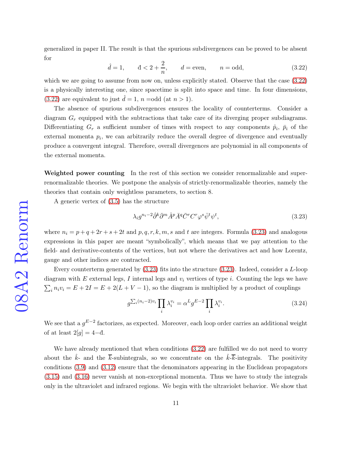generalized in paper II. The result is that the spurious subdivergences can be proved to be absent for

<span id="page-10-1"></span>
$$
\hat{d} = 1,
$$
  $\hat{d} < 2 + \frac{2}{n},$   $d = \text{even},$   $n = \text{odd},$  (3.22)

which we are going to assume from now on, unless explicitly stated. Observe that the case  $(3.22)$ is a physically interesting one, since spacetime is split into space and time. In four dimensions, [\(3.22\)](#page-10-1) are equivalent to just  $\hat{d} = 1$ ,  $n = \text{odd (at } n > 1)$ .

The absence of spurious subdivergences ensures the locality of counterterms. Consider a diagram  $G_r$  equipped with the subtractions that take care of its diverging proper subdiagrams. Differentiating  $G_r$  a sufficient number of times with respect to any components  $\hat{p}_i$ ,  $\bar{p}_i$  of the external momenta  $p_i$ , we can arbitrarily reduce the overall degree of divergence and eventually produce a convergent integral. Therefore, overall divergences are polynomial in all components of the external momenta.

Weighted power counting In the rest of this section we consider renormalizable and superrenormalizable theories. We postpone the analysis of strictly-renormalizable theories, namely the theories that contain only weightless parameters, to section 8.

A generic vertex of [\(3.5\)](#page-4-1) has the structure

<span id="page-10-2"></span>
$$
\lambda_i g^{n_i - 2} \hat{\partial}^k \bar{\partial}^m \hat{A}^p \bar{A}^q \bar{C}^r C^r \varphi^s \bar{\psi}^t \psi^t,\tag{3.23}
$$

where  $n_i = p + q + 2r + s + 2t$  and p, q, r, k, m, s and t are integers. Formula [\(3.23\)](#page-10-2) and analogous expressions in this paper are meant "symbolically", which means that we pay attention to the field- and derivative-contents of the vertices, but not where the derivatives act and how Lorentz, gauge and other indices are contracted.

Every counterterm generated by [\(3.23\)](#page-10-2) fits into the structure [\(3.23\)](#page-10-2). Indeed, consider a L-loop diagram with  $E$  external legs,  $I$  internal legs and  $v_i$  vertices of type  $i$ . Counting the legs we have  $\sum_i n_i v_i = E + 2I = E + 2(L + V - 1)$ , so the diagram is multiplied by a product of couplings

<span id="page-10-0"></span>
$$
g^{\sum_{i}(n_{i}-2)v_{i}}\prod_{i}\lambda_{i}^{v_{i}}=\alpha^{L}g^{E-2}\prod_{i}\lambda_{i}^{v_{i}}.
$$
\n(3.24)

We see that a  $g^{E-2}$  factorizes, as expected. Moreover, each loop order carries an additional weight of at least  $2[g] = 4-\bar{d}$ .

We have already mentioned that when conditions  $(3.22)$  are fulfilled we do not need to worry about the  $\hat{k}$ - and the  $\overline{k}$ -subintegrals, so we concentrate on the  $\hat{k}$ - $\overline{k}$ -integrals. The positivity conditions [\(3.9\)](#page-5-1) and [\(3.12\)](#page-6-5) ensure that the denominators appearing in the Euclidean propagators [\(3.15\)](#page-6-4) and [\(3.16\)](#page-7-0) never vanish at non-exceptional momenta. Thus we have to study the integrals only in the ultraviolet and infrared regions. We begin with the ultraviolet behavior. We show that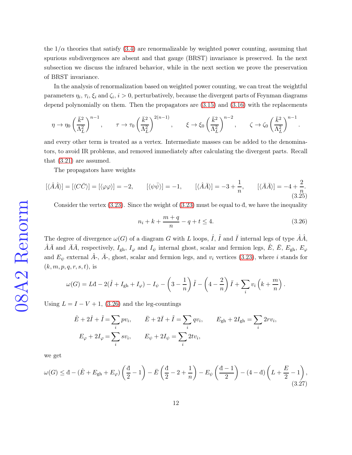the  $1/\alpha$  theories that satisfy [\(3.4\)](#page-4-2) are renormalizable by weighted power counting, assuming that spurious subdivergences are absent and that gauge (BRST) invariance is preserved. In the next subsection we discuss the infrared behavior, while in the next section we prove the preservation of BRST invariance.

In the analysis of renormalization based on weighted power counting, we can treat the weightful parameters  $\eta_i, \tau_i, \xi_i$  and  $\zeta_i, i > 0$ , perturbatively, because the divergent parts of Feynman diagrams depend polynomially on them. Then the propagators are [\(3.15\)](#page-6-4) and [\(3.16\)](#page-7-0) with the replacements

$$
\eta \rightarrow \eta_0 \left(\frac{\bar{k}^2}{\Lambda_L^2}\right)^{n-1}, \qquad \tau \rightarrow \tau_0 \left(\frac{\bar{k}^2}{\Lambda_L^2}\right)^{2(n-1)}, \qquad \xi \rightarrow \xi_0 \left(\frac{\bar{k}^2}{\Lambda_L^2}\right)^{n-2}, \qquad \zeta \rightarrow \zeta_0 \left(\frac{\bar{k}^2}{\Lambda_L^2}\right)^{n-1}.
$$

and every other term is treated as a vertex. Intermediate masses can be added to the denominators, to avoid IR problems, and removed immediately after calculating the divergent parts. Recall that [\(3.21\)](#page-9-0) are assumed.

The propagators have weights

<span id="page-11-1"></span>
$$
[\langle \hat{A}\hat{A}\rangle] = [\langle C\bar{C}\rangle] = [\langle \varphi\varphi \rangle] = -2, \qquad [\langle \psi\bar{\psi} \rangle] = -1, \qquad [\langle \hat{A}\bar{A}\rangle] = -3 + \frac{1}{n}, \qquad [\langle \bar{A}\bar{A}\rangle] = -4 + \frac{2}{n}.
$$
\n(3.25)

Consider the vertex  $(3.23)$ . Since the weight of  $(3.23)$  must be equal to  $\overline{d}$ , we have the inequality

<span id="page-11-0"></span>
$$
n_i + k + \frac{m+q}{n} - q + t \le 4. \tag{3.26}
$$

The degree of divergence  $\omega(G)$  of a diagram G with L loops,  $\hat{I}$ ,  $\tilde{I}$  and  $\bar{I}$  internal legs of type  $\hat{A}\hat{A}$ ,  $\hat{A}\bar{A}$  and  $\bar{A}\bar{A}$ , respectively,  $I_{\text{gh}}$ ,  $I_{\varphi}$  and  $I_{\psi}$  internal ghost, scalar and fermion legs,  $\hat{E}$ ,  $\bar{E}$ ,  $E_{\text{gh}}$ ,  $E_{\varphi}$ and  $E_{\psi}$  external  $\hat{A}$ -,  $\bar{A}$ -, ghost, scalar and fermion legs, and  $v_i$  vertices [\(3.23\)](#page-10-2), where i stands for  $(k, m, p, q, r, s, t)$ , is

$$
\omega(G) = L\mathbf{d} - 2(\hat{I} + I_{\text{gh}} + I_{\varphi}) - I_{\psi} - \left(3 - \frac{1}{n}\right)\tilde{I} - \left(4 - \frac{2}{n}\right)\bar{I} + \sum_{i} v_i\left(k + \frac{m}{n}\right).
$$

Using  $L = I - V + 1$ , [\(3.26\)](#page-11-0) and the leg-countings

$$
\hat{E} + 2\hat{I} + \tilde{I} = \sum_{i} pv_i, \qquad \bar{E} + 2\bar{I} + \tilde{I} = \sum_{i} qv_i, \qquad E_{gh} + 2I_{gh} = \sum_{i} 2rv_i,
$$

$$
E_{\varphi} + 2I_{\varphi} = \sum_{i} sv_i, \qquad E_{\psi} + 2I_{\psi} = \sum_{i} 2tv_i,
$$

we get

$$
\omega(G) \leq d - (\hat{E} + E_{gh} + E_{\varphi}) \left(\frac{d}{2} - 1\right) - \bar{E} \left(\frac{d}{2} - 2 + \frac{1}{n}\right) - E_{\psi} \left(\frac{d - 1}{2}\right) - (4 - d) \left(L + \frac{E}{2} - 1\right),\tag{3.27}
$$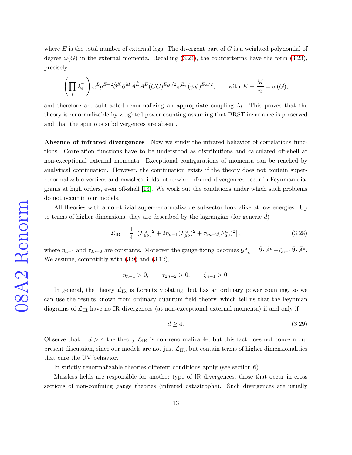where E is the total number of external legs. The divergent part of  $G$  is a weighted polynomial of degree  $\omega(G)$  in the external momenta. Recalling [\(3.24\)](#page-10-0), the counterterms have the form [\(3.23\)](#page-10-2), precisely

$$
\left(\prod_i \lambda_i^{n_i}\right)\alpha^Lg^{E-2}\hat{\partial}^K\bar{\partial}^M\hat{A}^{\hat{E}}\bar{A}^{\bar{E}}(\bar{C}C)^{E_{\rm gh}/2}\varphi^{E_{\varphi}}(\bar{\psi}\psi)^{E_{\psi}/2},\qquad {\rm with}\ K+\frac{M}{n}=\omega(G),
$$

and therefore are subtracted renormalizing an appropriate coupling  $\lambda_i$ . This proves that the theory is renormalizable by weighted power counting assuming that BRST invariance is preserved and that the spurious subdivergences are absent.

Absence of infrared divergences Now we study the infrared behavior of correlations functions. Correlation functions have to be understood as distributions and calculated off-shell at non-exceptional external momenta. Exceptional configurations of momenta can be reached by analytical continuation. However, the continuation exists if the theory does not contain superrenormalizable vertices and massless fields, otherwise infrared divergences occur in Feynman diagrams at high orders, even off-shell [\[13\]](#page-30-6). We work out the conditions under which such problems do not occur in our models.

All theories with a non-trivial super-renormalizable subsector look alike at low energies. Up to terms of higher dimensions, they are described by the lagrangian (for generic  $d$ )

$$
\mathcal{L}_{\rm IR} = \frac{1}{4} \left[ (F_{\hat{\mu}\hat{\nu}}^a)^2 + 2\eta_{n-1} (F_{\hat{\mu}\bar{\nu}}^a)^2 + \tau_{2n-2} (F_{\bar{\mu}\bar{\nu}}^a)^2 \right],\tag{3.28}
$$

where  $\eta_{n-1}$  and  $\tau_{2n-2}$  are constants. Moreover the gauge-fixing becomes  $\mathcal{G}_{IR}^a = \hat{\partial} \cdot \hat{A}^a + \zeta_{n-1} \bar{\partial} \cdot \bar{A}^a$ . We assume, compatibly with [\(3.9\)](#page-5-1) and [\(3.12\)](#page-6-5),

 $\eta_{n-1} > 0, \qquad \tau_{2n-2} > 0, \qquad \zeta_{n-1} > 0.$ 

In general, the theory  $\mathcal{L}_{IR}$  is Lorentz violating, but has an ordinary power counting, so we can use the results known from ordinary quantum field theory, which tell us that the Feynman diagrams of  $\mathcal{L}_{IR}$  have no IR divergences (at non-exceptional external momenta) if and only if

<span id="page-12-0"></span>
$$
d \ge 4. \tag{3.29}
$$

Observe that if  $d > 4$  the theory  $\mathcal{L}_{IR}$  is non-renormalizable, but this fact does not concern our present discussion, since our models are not just  $\mathcal{L}_{IR}$ , but contain terms of higher dimensionalities that cure the UV behavior.

In strictly renormalizable theories different conditions apply (see section 6).

Massless fields are responsible for another type of IR divergences, those that occur in cross sections of non-confining gauge theories (infrared catastrophe). Such divergences are usually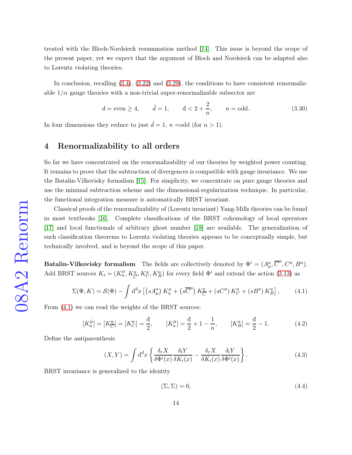treated with the Bloch-Nordsieck resummation method [\[14\]](#page-31-0). This issue is beyond the scope of the present paper, yet we expect that the argument of Bloch and Nordsieck can be adapted also to Lorentz violating theories.

In conclusion, recalling  $(3.4)$ ,  $(3.22)$  and  $(3.29)$ , the conditions to have consistent renormalizable  $1/\alpha$  gauge theories with a non-trivial super-renormalizable subsector are

<span id="page-13-2"></span>
$$
d = \text{even} \ge 4, \qquad \hat{d} = 1, \qquad \hat{d} < 2 + \frac{2}{n}, \qquad n = \text{odd.} \tag{3.30}
$$

In four dimensions they reduce to just  $\hat{d} = 1$ ,  $n = \text{odd (for } n > 1)$ .

#### 4 Renormalizability to all orders

So far we have concentrated on the renormalizability of our theories by weighted power counting. It remains to prove that the subtraction of divergences is compatible with gauge invariance. We use the Batalin-Vilkovisky formalism [\[15\]](#page-31-1). For simplicity, we concentrate on pure gauge theories and use the minimal subtraction scheme and the dimensional-regularization technique. In particular, the functional integration measure is automatically BRST invariant.

Classical proofs of the renormalizability of (Lorentz invariant) Yang-Mills theories can be found in most textbooks [\[16\]](#page-31-2). Complete classifications of the BRST cohomology of local operators [\[17\]](#page-31-3) and local functionals of arbitrary ghost number [\[18\]](#page-31-4) are available. The generalization of such classification theorems to Lorentz violating theories appears to be conceptually simple, but technically involved, and is beyond the scope of this paper.

**Batalin-Vilkovisky formalism** The fields are collectively denoted by  $\Phi^i = (A^a_\mu, \overline{C}^a, C^a, B^a)$ . Add BRST sources  $K_i = (K_a^{\mu}, K_{\overline{C}}^a, K_B^a)$  for every field  $\Phi^i$  and extend the action [\(3.13\)](#page-6-0) as

<span id="page-13-0"></span>
$$
\Sigma(\Phi, K) = \mathcal{S}(\Phi) - \int d^d x \left[ \left( s A_\mu^a \right) K_a^\mu + \left( s \overline{C}^a \right) K_{\overline{C}}^a + \left( s C^a \right) K_C^a + \left( s B^a \right) K_B^a \right],\tag{4.1}
$$

From  $(4.1)$  we can read the weights of the BRST sources:

$$
[K_a^{\hat{\mu}}] = [K_C^a] = [K_C^a] = \frac{d}{2}, \qquad [K_a^{\bar{\mu}}] = \frac{d}{2} + 1 - \frac{1}{n}, \qquad [K_B^a] = \frac{d}{2} - 1. \tag{4.2}
$$

Define the antiparenthesis

$$
(X,Y) = \int d^d x \left\{ \frac{\delta_r X}{\delta \Phi^i(x)} \frac{\delta_l Y}{\delta K_i(x)} - \frac{\delta_r X}{\delta K_i(x)} \frac{\delta_l Y}{\delta \Phi^i(x)} \right\}.
$$
 (4.3)

BRST invariance is generalized to the identity

<span id="page-13-1"></span>
$$
(\Sigma, \Sigma) = 0,\tag{4.4}
$$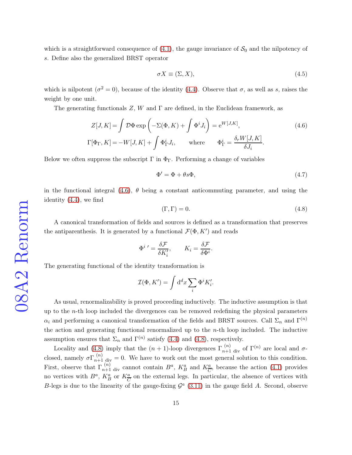which is a straightforward consequence of  $(4.1)$ , the gauge invariance of  $S_0$  and the nilpotency of s. Define also the generalized BRST operator

$$
\sigma X \equiv (\Sigma, X),\tag{4.5}
$$

which is nilpotent  $(\sigma^2 = 0)$ , because of the identity [\(4.4\)](#page-13-1). Observe that  $\sigma$ , as well as s, raises the weight by one unit.

The generating functionals  $Z$ , W and  $\Gamma$  are defined, in the Euclidean framework, as

<span id="page-14-0"></span>
$$
Z[J,K] = \int \mathcal{D}\Phi \exp\left(-\Sigma(\Phi,K) + \int \Phi^i J_i\right) = e^{W[J,K]},\tag{4.6}
$$

$$
\Gamma[\Phi_{\Gamma},K] = -W[J,K] + \int \Phi_{\Gamma}^i J_i, \qquad \text{where} \qquad \Phi_{\Gamma}^i = \frac{\delta_r W[J,K]}{\delta J_i}.
$$

Below we often suppress the subscript  $\Gamma$  in  $\Phi_{\Gamma}$ . Performing a change of variables

$$
\Phi' = \Phi + \theta s \Phi, \tag{4.7}
$$

in the functional integral  $(4.6)$ ,  $\theta$  being a constant anticommuting parameter, and using the identity [\(4.4\)](#page-13-1), we find

<span id="page-14-1"></span>
$$
(\Gamma, \Gamma) = 0. \tag{4.8}
$$

A canonical transformation of fields and sources is defined as a transformation that preserves the antiparenthesis. It is generated by a functional  $\mathcal{F}(\Phi, K')$  and reads

$$
\Phi^{i}{}' = \frac{\delta \mathcal{F}}{\delta K'_{i}}, \qquad K_{i} = \frac{\delta \mathcal{F}}{\delta \Phi^{i}}.
$$

The generating functional of the identity transformation is

$$
\mathcal{I}(\Phi, K') = \int \mathrm{d}^d x \sum_i \Phi^i K'_i.
$$

As usual, renormalizability is proved proceeding inductively. The inductive assumption is that up to the  $n$ -th loop included the divergences can be removed redefining the physical parameters  $\alpha_i$  and performing a canonical transformation of the fields and BRST sources. Call  $\Sigma_n$  and  $\Gamma^{(n)}$ the action and generating functional renormalized up to the  $n$ -th loop included. The inductive assumption ensures that  $\Sigma_n$  and  $\Gamma^{(n)}$  satisfy [\(4.4\)](#page-13-1) and [\(4.8\)](#page-14-1), respectively.

Locality and [\(4.8\)](#page-14-1) imply that the  $(n + 1)$ -loop divergences  $\Gamma_{n+1}^{(n)}$  div of  $\Gamma^{(n)}$  are local and  $\sigma$ closed, namely  $\sigma \Gamma_{n+1}^{(n)}$  div = 0. We have to work out the most general solution to this condition. First, observe that  $\Gamma_{n+1}^{(n)}$  div cannot contain  $B^a$ ,  $K_B^a$  and  $K_{\overline{C}}^a$ , because the action [\(4.1\)](#page-13-0) provides no vertices with  $B^a$ ,  $K_B^a$  or  $K_{\overline{C}}^a$  on the external legs. In particular, the absence of vertices with B-legs is due to the linearity of the gauge-fixing  $\mathcal{G}^a$  [\(3.11\)](#page-6-2) in the gauge field A. Second, observe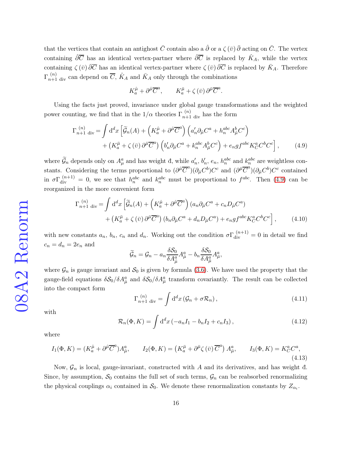that the vertices that contain an antighost  $\bar{C}$  contain also a  $\hat{\partial}$  or a  $\zeta(\bar{v})\bar{\partial}$  acting on  $\bar{C}$ . The vertex containing  $\hat{\partial}\overline{C}$  has an identical vertex-partner where  $\hat{\partial}\overline{C}$  is replaced by  $\hat{K}_A$ , while the vertex containing  $\zeta(\bar{v}) \overline{\partial} \overline{C}$  has an identical vertex-partner where  $\zeta(\bar{v}) \overline{\partial} \overline{C}$  is replaced by  $\overline{K}_A$ . Therefore  $\Gamma_{n+1}^{(n)}$  div can depend on  $\overline{C}$ ,  $\hat{K}_A$  and  $\overline{K}_A$  only through the combinations

$$
K_a^{\hat{\mu}} + \partial^{\hat{\mu}} \overline{C}^a
$$
,  $K_a^{\bar{\mu}} + \zeta (\bar{v}) \partial^{\bar{\mu}} \overline{C}^a$ .

Using the facts just proved, invariance under global gauge transformations and the weighted power counting, we find that in the  $1/\alpha$  theories  $\Gamma_{n+1}^{(n)}$  div has the form

<span id="page-15-0"></span>
$$
\Gamma_{n+1 \text{ div}}^{(n)} = \int d^d x \left[ \widetilde{\mathcal{G}}_n(A) + \left( K_a^{\hat{\mu}} + \partial^{\hat{\mu}} \overline{C}^a \right) \left( a'_n \partial_{\hat{\mu}} C^a + h_n^{abc} A_{\hat{\mu}}^b C^c \right) \right. \\
\left. + \left( K_a^{\bar{\mu}} + \zeta (\bar{v}) \partial^{\bar{\mu}} \overline{C}^a \right) \left( b'_n \partial_{\bar{\mu}} C^a + k_n^{abc} A_{\bar{\mu}}^b C^c \right) + e_n g f^{abc} K_C^a C^b C^c \right],\tag{4.9}
$$

where  $\widetilde{\mathcal{G}}_n$  depends only on  $A^a_\mu$  and has weight đ, while  $a'_\eta$  $n'$ ,  $b'_n$  $n'$ ,  $e_n$ ,  $h_n^{abc}$  and  $k_n^{abc}$  are weightless constants. Considering the terms proportional to  $(\partial^{\hat{\mu}} \overline{C}^a)(\partial_{\hat{\mu}} C^b) C^c$  and  $(\partial^{\bar{\mu}} \overline{C}^a)(\partial_{\bar{\mu}} C^b) C^c$  contained in  $\sigma\Gamma_{\text{div}}^{(n+1)}=0$ , we see that  $h_n^{abc}$  and  $k_n^{abc}$  must be proportional to  $f^{abc}$ . Then [\(4.9\)](#page-15-0) can be reorganized in the more convenient form

$$
\Gamma_{n+1 \text{ div}}^{(n)} = \int d^d x \left[ \widetilde{\mathcal{G}}_n(A) + \left( K_a^{\hat{\mu}} + \partial^{\hat{\mu}} \overline{C}^a \right) (a_n \partial_{\hat{\mu}} C^a + c_n D_{\hat{\mu}} C^a) + (K_a^{\bar{\mu}} + \zeta (\bar{v}) \partial^{\bar{\mu}} \overline{C}^a) (b_n \partial_{\bar{\mu}} C^a + d_n D_{\bar{\mu}} C^a) + e_n g f^{abc} K_C^a C^b C^c \right], \qquad (4.10)
$$

with new constants  $a_n$ ,  $b_n$ ,  $c_n$  and  $d_n$ . Working out the condition  $\sigma \Gamma_{div}^{(n+1)} = 0$  in detail we find  $c_n = d_n = 2e_n$  and

$$
\widetilde{\mathcal{G}}_{n}=\mathcal{G}_{n}-a_{n}\frac{\delta\mathcal{S}_{0}}{\delta A_{\hat{\mu}}^{a}}A_{\hat{\mu}}^{a}-b_{n}\frac{\delta\mathcal{S}_{0}}{\delta A_{\tilde{\mu}}^{a}}A_{\tilde{\mu}}^{a},
$$

where  $\mathcal{G}_n$  is gauge invariant and  $\mathcal{S}_0$  is given by formula [\(3.6\)](#page-5-2). We have used the property that the gauge-field equations  $\delta S_0/\delta A_{\hat{\mu}}^a$  and  $\delta S_0/\delta A_{\hat{\mu}}^a$  transform covariantly. The result can be collected into the compact form

<span id="page-15-1"></span>
$$
\Gamma_{n+1 \text{ div}}^{(n)} = \int d^d x \left( \mathcal{G}_n + \sigma \mathcal{R}_n \right), \qquad (4.11)
$$

with

$$
\mathcal{R}_n(\Phi, K) = \int d^d x \left( -a_n I_1 - b_n I_2 + c_n I_3 \right),\tag{4.12}
$$

where

<span id="page-15-2"></span>
$$
I_1(\Phi, K) = (K_a^{\hat{\mu}} + \partial^{\hat{\mu}} \overline{C}^a) A_{\hat{\mu}}^a, \qquad I_2(\Phi, K) = (K_a^{\bar{\mu}} + \partial^{\bar{\mu}} \zeta (\bar{v}) \overline{C}^a) A_{\bar{\mu}}^a, \qquad I_3(\Phi, K) = K_C^a C^a,
$$
\n(4.13)

Now,  $\mathcal{G}_n$  is local, gauge-invariant, constructed with A and its derivatives, and has weight đ. Since, by assumption,  $S_0$  contains the full set of such terms,  $\mathcal{G}_n$  can be reabsorbed renormalizing the physical couplings  $\alpha_i$  contained in  $S_0$ . We denote these renormalization constants by  $Z_{\alpha_i}$ .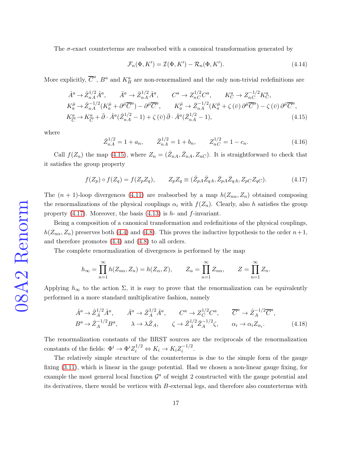The  $\sigma$ -exact counterterms are reabsorbed with a canonical transformation generated by

$$
\mathcal{F}_n(\Phi, K') = \mathcal{I}(\Phi, K') - \mathcal{R}_n(\Phi, K'). \tag{4.14}
$$

More explicitly,  $\overline{C}^a$ ,  $B^a$  and  $K_B^a$  are non-renormalized and the only non-trivial redefinitions are

<span id="page-16-0"></span>
$$
\hat{A}^{a} \rightarrow \hat{Z}_{nA}^{1/2} \hat{A}^{a}, \qquad \bar{A}^{a} \rightarrow \bar{Z}_{nA}^{1/2} \bar{A}^{a}, \qquad C^{a} \rightarrow Z_{nC}^{1/2} C^{a}, \qquad K_{C}^{a} \rightarrow Z_{nC}^{-1/2} K_{C}^{a}, \nK_{a}^{\hat{\mu}} \rightarrow \hat{Z}_{nA}^{-1/2} (K_{a}^{\hat{\mu}} + \partial^{\hat{\mu}} \overline{C}^{a}) - \partial^{\hat{\mu}} \overline{C}^{a}, \qquad K_{a}^{\bar{\mu}} \rightarrow \bar{Z}_{nA}^{-1/2} (K_{a}^{\bar{\mu}} + \zeta (\bar{v}) \partial^{\bar{\mu}} \overline{C}^{a}) - \zeta (\bar{v}) \partial^{\bar{\mu}} \overline{C}^{a}, \nK_{\overline{C}}^{a} \rightarrow K_{\overline{C}}^{a} + \hat{\partial} \cdot \hat{A}^{a} (\hat{Z}_{nA}^{1/2} - 1) + \zeta (\bar{v}) \bar{\partial} \cdot \bar{A}^{a} (\bar{Z}_{nA}^{1/2} - 1),
$$
\n(4.15)

where

$$
\hat{Z}_{nA}^{1/2} = 1 + a_n, \qquad \bar{Z}_{nA}^{1/2} = 1 + b_n, \qquad Z_{nC}^{1/2} = 1 - c_n. \tag{4.16}
$$

Call  $f(Z_n)$  the map [\(4.15\)](#page-16-0), where  $Z_n = (\hat{Z}_{nA}, \bar{Z}_{nA}, Z_{nC})$ . It is straightforward to check that it satisfies the group property

<span id="page-16-1"></span>
$$
f(Z_p) \circ f(Z_q) = f(Z_p Z_q), \qquad Z_p Z_q \equiv (\hat{Z}_{pA} \hat{Z}_{qA}, \bar{Z}_{pA} \bar{Z}_{qA}, Z_{pC} Z_{qC}). \tag{4.17}
$$

The  $(n + 1)$ -loop divergences [\(4.11\)](#page-15-1) are reabsorbed by a map  $h(Z_{n\alpha}, Z_n)$  obtained composing the renormalizations of the physical couplings  $\alpha_i$  with  $f(Z_n)$ . Clearly, also h satisfies the group property  $(4.17)$ . Moreover, the basis  $(4.13)$  is h- and f-invariant.

Being a composition of a canonical transformation and redefinitions of the physical couplings,  $h(Z_{n\alpha}, Z_n)$  preserves both [\(4.4\)](#page-13-1) and [\(4.8\)](#page-14-1). This proves the inductive hypothesis to the order  $n+1$ , and therefore promotes [\(4.4\)](#page-13-1) and [\(4.8\)](#page-14-1) to all orders.

The complete renormalization of divergences is performed by the map

$$
h_{\infty} = \prod_{n=1}^{\infty} h(Z_{n\alpha}, Z_n) = h(Z_{\alpha}, Z), \qquad Z_{\alpha} = \prod_{n=1}^{\infty} Z_{n\alpha}, \qquad Z = \prod_{n=1}^{\infty} Z_n.
$$

Applying  $h_{\infty}$  to the action  $\Sigma$ , it is easy to prove that the renormalization can be equivalently performed in a more standard multiplicative fashion, namely

$$
\hat{A}^a \to \hat{Z}_A^{1/2} \hat{A}^a, \qquad \bar{A}^a \to \bar{Z}_A^{1/2} \bar{A}^a, \qquad C^a \to Z_C^{1/2} C^a, \qquad \overline{C}^a \to \hat{Z}_A^{-1/2} \overline{C}^a,
$$
\n
$$
B^a \to \hat{Z}_A^{-1/2} B^a, \qquad \lambda \to \lambda \hat{Z}_A, \qquad \zeta \to \hat{Z}_A^{1/2} \bar{Z}_A^{-1/2} \zeta, \qquad \alpha_i \to \alpha_i Z_{\alpha_i}.
$$
\n(4.18)

The renormalization constants of the BRST sources are the reciprocals of the renormalization constants of the fields:  $\Phi^i \to \Phi^i Z_i^{1/2} \Leftrightarrow K_i \to K_i Z_i^{-1/2}$  $\frac{(-1)}{i}$ .

The relatively simple structure of the counterterms is due to the simple form of the gauge fixing [\(3.11\)](#page-6-2), which is linear in the gauge potential. Had we chosen a non-linear gauge fixing, for example the most general local function  $\mathcal{G}^a$  of weight 2 constructed with the gauge potential and its derivatives, there would be vertices with B-external legs, and therefore also counterterms with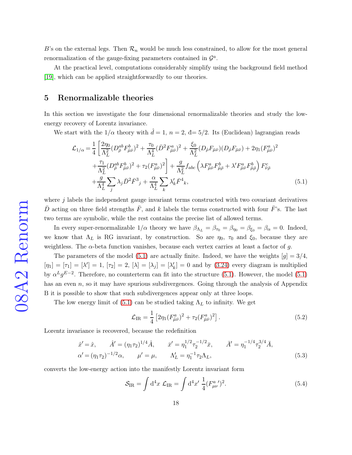B's on the external legs. Then  $\mathcal{R}_n$  would be much less constrained, to allow for the most general renormalization of the gauge-fixing parameters contained in  $\mathcal{G}^a$ .

At the practical level, computations considerably simplify using the background field method [\[19\]](#page-31-5), which can be applied straightforwardly to our theories.

#### 5 Renormalizable theories

In this section we investigate the four dimensional renormalizable theories and study the lowenergy recovery of Lorentz invariance.

We start with the  $1/\alpha$  theory with  $\ddot{d} = 1$ ,  $n = 2$ ,  $d = 5/2$ . Its (Euclidean) lagrangian reads

<span id="page-17-0"></span>
$$
\mathcal{L}_{1/\alpha} = \frac{1}{4} \left[ \frac{2\eta_0}{\Lambda_L^2} (D_{\bar{\rho}}^{ab} F_{\hat{\mu}\bar{\nu}}^b)^2 + \frac{\tau_0}{\Lambda_L^4} (\bar{D}^2 F_{\bar{\mu}\bar{\nu}}^a)^2 + \frac{\xi_0}{\Lambda_L^2} (D_{\hat{\rho}} F_{\bar{\mu}\bar{\nu}}) (D_{\hat{\rho}} F_{\bar{\mu}\bar{\nu}}) + 2\eta_1 (F_{\hat{\mu}\bar{\nu}}^a)^2 + \frac{\tau_1}{\Lambda_L^2} (D_{\bar{\rho}}^{ab} F_{\bar{\mu}\bar{\nu}}^b)^2 + \tau_2 (F_{\bar{\mu}\bar{\nu}}^a)^2 \right] + \frac{g}{\Lambda_L^2} f_{abc} \left( \lambda F_{\hat{\mu}\bar{\nu}}^a F_{\hat{\mu}\bar{\rho}}^b + \lambda' F_{\bar{\mu}\bar{\nu}}^a F_{\bar{\mu}\bar{\rho}}^b \right) F_{\bar{\nu}\bar{\rho}}^c + \frac{g}{\Lambda_L^4} \sum_j \lambda_j \bar{D}^2 \bar{F}^3{}_j + \frac{\alpha}{\Lambda_L^4} \sum_k \lambda'_k \bar{F}^4{}_k, \tag{5.1}
$$

where  $j$  labels the independent gauge invariant terms constructed with two covariant derivatives  $\bar{D}$  acting on three field strengths  $\bar{F}$ , and k labels the terms constructed with four  $\bar{F}$ 's. The last two terms are symbolic, while the rest contains the precise list of allowed terms.

In every super-renormalizable  $1/\alpha$  theory we have  $\beta_{\Lambda_L} = \beta_{\tau_0} = \beta_{\eta_0} = \beta_{\xi_0} = \beta_\alpha = 0$ . Indeed, we know that  $\Lambda_L$  is RG invariant, by construction. So are  $\eta_0$ ,  $\tau_0$  and  $\xi_0$ , because they are weightless. The  $\alpha$ -beta function vanishes, because each vertex carries at least a factor of g.

The parameters of the model [\(5.1\)](#page-17-0) are actually finite. Indeed, we have the weights  $[g] = 3/4$ ,  $[\eta_1] = [\tau_1] = [\lambda'] = 1, [\tau_2] = 2, [\lambda] = [\lambda_j] = [\lambda_j']$  $k'$ <sub>k</sub> $] = 0$  and by [\(3.24\)](#page-10-0) every diagram is multiplied by  $\alpha^L g^{E-2}$ . Therefore, no counterterm can fit into the structure [\(5.1\)](#page-17-0). However, the model [\(5.1\)](#page-17-0) has an even  $n$ , so it may have spurious subdivergences. Going through the analysis of Appendix B it is possible to show that such subdivergences appear only at three loops.

The low energy limit of [\(5.1\)](#page-17-0) can be studied taking  $\Lambda_L$  to infinity. We get

<span id="page-17-2"></span>
$$
\mathcal{L}_{\rm IR} = \frac{1}{4} \left[ 2\eta_1 (F_{\hat{\mu}\bar{\nu}}^a)^2 + \tau_2 (F_{\bar{\mu}\bar{\nu}}^a)^2 \right]. \tag{5.2}
$$

Lorentz invariance is recovered, because the redefinition

<span id="page-17-1"></span>
$$
\hat{x}' = \hat{x}, \qquad \hat{A}' = (\eta_1 \tau_2)^{1/4} \hat{A}, \qquad \bar{x}' = \eta_1^{1/2} \tau_2^{-1/2} \bar{x}, \qquad \bar{A}' = \eta_1^{-1/4} \tau_2^{3/4} \bar{A},
$$
  
\n
$$
\alpha' = (\eta_1 \tau_2)^{-1/2} \alpha, \qquad \mu' = \mu, \qquad \Lambda'_L = \eta_1^{-1} \tau_2 \Lambda_L,
$$
\n(5.3)

converts the low-energy action into the manifestly Lorentz invariant form

$$
S_{\rm IR} = \int d^4x \mathcal{L}_{\rm IR} = \int d^4x' \frac{1}{4} (F_{\mu\nu}^{a'})^2.
$$
 (5.4)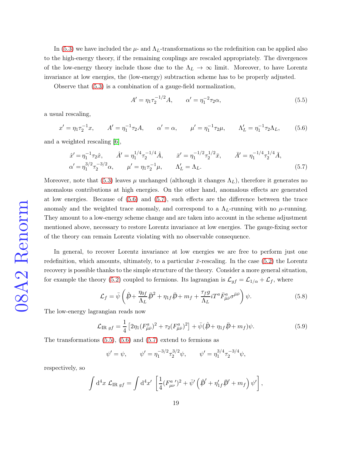In [\(5.3\)](#page-17-1) we have included the  $\mu$ - and  $\Lambda_L$ -transformations so the redefinition can be applied also to the high-energy theory, if the remaining couplings are rescaled appropriately. The divergences of the low-energy theory include those due to the  $\Lambda_L \to \infty$  limit. Moreover, to have Lorentz invariance at low energies, the (low-energy) subtraction scheme has to be properly adjusted.

Observe that [\(5.3\)](#page-17-1) is a combination of a gauge-field normalization,

<span id="page-18-2"></span>
$$
A' = \eta_1 \tau_2^{-1/2} A, \qquad \alpha' = \eta_1^{-2} \tau_2 \alpha,
$$
\n(5.5)

a usual rescaling,

<span id="page-18-0"></span>
$$
x' = \eta_1 \tau_2^{-1} x, \qquad A' = \eta_1^{-1} \tau_2 A, \qquad \alpha' = \alpha, \qquad \mu' = \eta_1^{-1} \tau_2 \mu, \qquad \Lambda'_L = \eta_1^{-1} \tau_2 \Lambda_L,\tag{5.6}
$$

and a weighted rescaling [\[6\]](#page-29-5),

<span id="page-18-1"></span>
$$
\hat{x}' = \eta_1^{-1} \tau_2 \hat{x}, \qquad \hat{A}' = \eta_1^{1/4} \tau_2^{-1/4} \hat{A}, \qquad \bar{x}' = \eta_1^{-1/2} \tau_2^{1/2} \bar{x}, \qquad \bar{A}' = \eta_1^{-1/4} \tau_2^{1/4} \bar{A}, \n\alpha' = \eta_1^{3/2} \tau_2^{-3/2} \alpha, \qquad \mu' = \eta_1 \tau_2^{-1} \mu, \qquad \Lambda'_L = \Lambda_L.
$$
\n(5.7)

Moreover, note that [\(5.3\)](#page-17-1) leaves  $\mu$  unchanged (although it changes  $\Lambda_L$ ), therefore it generates no anomalous contributions at high energies. On the other hand, anomalous effects are generated at low energies. Because of [\(5.6\)](#page-18-0) and [\(5.7\)](#page-18-1), such effects are the difference between the trace anomaly and the weighted trace anomaly, and correspond to a  $\Lambda_L$ -running with no  $\mu$ -running. They amount to a low-energy scheme change and are taken into account in the scheme adjustment mentioned above, necessary to restore Lorentz invariance at low energies. The gauge-fixing sector of the theory can remain Lorentz violating with no observable consequence.

In general, to recover Lorentz invariance at low energies we are free to perform just one redefinition, which amounts, ultimately, to a particular  $\bar{x}$ -rescaling. In the case [\(5.2\)](#page-17-2) the Lorentz recovery is possible thanks to the simple structure of the theory. Consider a more general situation, for example the theory [\(5.2\)](#page-17-2) coupled to fermions. Its lagrangian is  $\mathcal{L}_{gf} = \mathcal{L}_{1/\alpha} + \mathcal{L}_f$ , where

<span id="page-18-3"></span>
$$
\mathcal{L}_f = \bar{\psi} \left( \hat{p} + \frac{\eta_{0f}}{\Lambda_L} \bar{p}^2 + \eta_{1f} \bar{p} + m_f + \frac{\tau_f g}{\Lambda_L} i T^a \bar{F}^a_{\bar{\mu}\bar{\nu}} \sigma^{\bar{\mu}\bar{\nu}} \right) \psi.
$$
 (5.8)

The low-energy lagrangian reads now

$$
\mathcal{L}_{\text{IR }gf} = \frac{1}{4} \left[ 2\eta_1 (F^a_{\hat{\mu}\bar{\nu}})^2 + \tau_2 (F^a_{\bar{\mu}\bar{\nu}})^2 \right] + \bar{\psi} (\hat{p} + \eta_1 f \bar{p} + m_f) \psi. \tag{5.9}
$$

The transformations  $(5.5)$ ,  $(5.6)$  and  $(5.7)$  extend to fermions as

$$
\psi' = \psi
$$
,  $\psi' = \eta_1^{-3/2} \tau_2^{3/2} \psi$ ,  $\psi' = \eta_1^{3/4} \tau_2^{-3/4} \psi$ ,

respectively, so

$$
\int d^4x \mathcal{L}_{IR\ gf} = \int d^4x' \left[ \frac{1}{4} (F^a_{\mu\nu'})^2 + \bar{\psi}' \left( \hat{p}' + \eta'_{1f} \bar{p}' + m_f \right) \psi' \right],
$$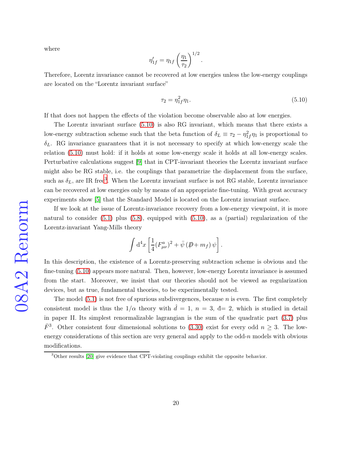where

$$
\eta'_{1f} = \eta_{1f} \left(\frac{\eta_1}{\tau_2}\right)^{1/2}.
$$

Therefore, Lorentz invariance cannot be recovered at low energies unless the low-energy couplings are located on the "Lorentz invariant surface"

<span id="page-19-0"></span>
$$
\tau_2 = \eta_{1f}^2 \eta_1. \tag{5.10}
$$

If that does not happen the effects of the violation become observable also at low energies.

The Lorentz invariant surface [\(5.10\)](#page-19-0) is also RG invariant, which means that there exists a low-energy subtraction scheme such that the beta function of  $\delta_L \equiv \tau_2 - \eta_{1f}^2 \eta_1$  is proportional to  $\delta_L$ . RG invariance guarantees that it is not necessary to specify at which low-energy scale the relation [\(5.10\)](#page-19-0) must hold: if it holds at some low-energy scale it holds at all low-energy scales. Perturbative calculations suggest [\[9\]](#page-30-2) that in CPT-invariant theories the Lorentz invariant surface might also be RG stable, i.e. the couplings that parametrize the displacement from the surface, such as  $\delta_L$ , are IR free<sup>[3](#page-19-1)</sup>. When the Lorentz invariant surface is not RG stable, Lorentz invariance can be recovered at low energies only by means of an appropriate fine-tuning. With great accuracy experiments show [\[5\]](#page-29-4) that the Standard Model is located on the Lorentz invariant surface.

If we look at the issue of Lorentz-invariance recovery from a low-energy viewpoint, it is more natural to consider  $(5.1)$  plus  $(5.8)$ , equipped with  $(5.10)$ , as a (partial) regularization of the Lorentz-invariant Yang-Mills theory

$$
\int d^4x \left[ \frac{1}{4} (F^a_{\mu\nu})^2 + \bar{\psi} (\not\!\!D + m_f) \psi \right].
$$

In this description, the existence of a Lorentz-preserving subtraction scheme is obvious and the fine-tuning [\(5.10\)](#page-19-0) appears more natural. Then, however, low-energy Lorentz invariance is assumed from the start. Moreover, we insist that our theories should not be viewed as regularization devices, but as true, fundamental theories, to be experimentally tested.

The model  $(5.1)$  is not free of spurious subdivergences, because n is even. The first completely consistent model is thus the  $1/\alpha$  theory with  $\hat{d} = 1, n = 3, \hat{d} = 2$ , which is studied in detail in paper II. Its simplest renormalizable lagrangian is the sum of the quadratic part [\(3.7\)](#page-5-0) plus  $\bar{F}^3$ . Other consistent four dimensional solutions to [\(3.30\)](#page-13-2) exist for every odd  $n \geq 3$ . The lowenergy considerations of this section are very general and apply to the odd- $n$  models with obvious modifications.

<span id="page-19-1"></span><sup>&</sup>lt;sup>3</sup>Other results [\[20\]](#page-31-6) give evidence that CPT-violating couplings exhibit the opposite behavior.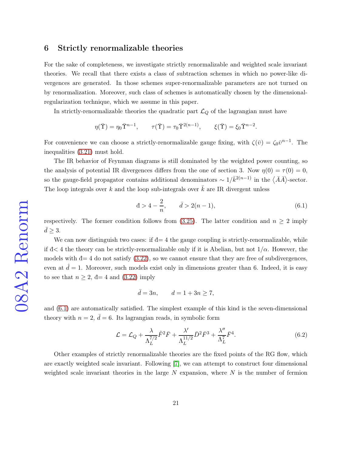#### 6 Strictly renormalizable theories

For the sake of completeness, we investigate strictly renormalizable and weighted scale invariant theories. We recall that there exists a class of subtraction schemes in which no power-like divergences are generated. In those schemes super-renormalizable parameters are not turned on by renormalization. Moreover, such class of schemes is automatically chosen by the dimensionalregularization technique, which we assume in this paper.

In strictly-renormalizable theories the quadratic part  $\mathcal{L}_Q$  of the lagrangian must have

$$
\eta(\overline{\Upsilon}) = \eta_0 \overline{\Upsilon}^{n-1}, \qquad \tau(\overline{\Upsilon}) = \tau_0 \overline{\Upsilon}^{2(n-1)}, \qquad \xi(\overline{\Upsilon}) = \xi_0 \overline{\Upsilon}^{n-2}.
$$

For convenience we can choose a strictly-renormalizable gauge fixing, with  $\zeta(\bar{v}) = \zeta_0 \bar{v}^{n-1}$ . The inequalities [\(3.21\)](#page-9-0) must hold.

The IR behavior of Feynman diagrams is still dominated by the weighted power counting, so the analysis of potential IR divergences differs from the one of section 3. Now  $\eta(0) = \tau(0) = 0$ , so the gauge-field propagator contains additional denominators  $\sim 1/\bar{k}^{2(n-1)}$  in the  $\langle \bar{A}\bar{A}\rangle$ -sector. The loop integrals over k and the loop sub-integrals over  $\bar{k}$  are IR divergent unless

<span id="page-20-0"></span>
$$
d > 4 - \frac{2}{n}, \qquad \bar{d} > 2(n - 1), \tag{6.1}
$$

respectively. The former condition follows from [\(3.25\)](#page-11-1). The latter condition and  $n \geq 2$  imply  $\bar{d} \geq 3$ .

We can now distinguish two cases: if  $d=4$  the gauge coupling is strictly-renormalizable, while if  $d < 4$  the theory can be strictly-renormalizable only if it is Abelian, but not  $1/\alpha$ . However, the models with  $d=4$  do not satisfy  $(3.22)$ , so we cannot ensure that they are free of subdivergences, even at  $d=1$ . Moreover, such models exist only in dimensions greater than 6. Indeed, it is easy to see that  $n \geq 2$ ,  $d=4$  and  $(3.22)$  imply

$$
\bar{d} = 3n, \qquad d = 1 + 3n \ge 7,
$$

and [\(6.1\)](#page-20-0) are automatically satisfied. The simplest example of this kind is the seven-dimensional theory with  $n = 2$ ,  $\bar{d} = 6$ . Its lagrangian reads, in symbolic form

$$
\mathcal{L} = \mathcal{L}_Q + \frac{\lambda}{\Lambda_L^{7/2}} \tilde{F}^2 \bar{F} + \frac{\lambda'}{\Lambda_L^{11/2}} \bar{D}^2 \bar{F}^3 + \frac{\lambda''}{\Lambda_L^7} \bar{F}^4.
$$
 (6.2)

Other examples of strictly renormalizable theories are the fixed points of the RG flow, which are exactly weighted scale invariant. Following [\[7\]](#page-30-0), we can attempt to construct four dimensional weighted scale invariant theories in the large  $N$  expansion, where  $N$  is the number of fermion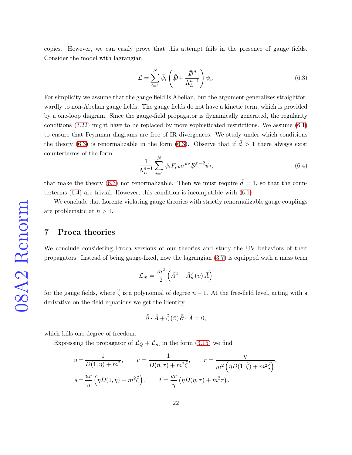copies. However, we can easily prove that this attempt fails in the presence of gauge fields. Consider the model with lagrangian

<span id="page-21-0"></span>
$$
\mathcal{L} = \sum_{i=1}^{N} \bar{\psi}_i \left( \hat{p} + \frac{\bar{p}^n}{\Lambda_L^{n-1}} \right) \psi_i.
$$
\n(6.3)

For simplicity we assume that the gauge field is Abelian, but the argument generalizes straightforwardly to non-Abelian gauge fields. The gauge fields do not have a kinetic term, which is provided by a one-loop diagram. Since the gauge-field propagator is dynamically generated, the regularity conditions [\(3.22\)](#page-10-1) might have to be replaced by more sophisticated restrictions. We assume [\(6.1\)](#page-20-0) to ensure that Feynman diagrams are free of IR divergences. We study under which conditions the theory [\(6.3\)](#page-21-0) is renormalizable in the form (6.3). Observe that if  $\bar{d} > 1$  there always exist counterterms of the form

<span id="page-21-1"></span>
$$
\frac{1}{\Lambda_L^{n-1}} \sum_{i=1}^N \bar{\psi}_i F_{\bar{\mu}\bar{\nu}} \sigma^{\bar{\mu}\bar{\nu}} \bar{\not{D}}^{n-2} \psi_i, \tag{6.4}
$$

that make the theory [\(6.3\)](#page-21-0) not renormalizable. Then we must require  $\bar{d} = 1$ , so that the counterterms [\(6.4\)](#page-21-1) are trivial. However, this condition is incompatible with [\(6.1\)](#page-20-0).

We conclude that Lorentz violating gauge theories with strictly renormalizable gauge couplings are problematic at  $n > 1$ .

## 7 Proca theories

We conclude considering Proca versions of our theories and study the UV behaviors of their propagators. Instead of being gauge-fixed, now the lagrangian [\(3.7\)](#page-5-0) is equipped with a mass term

$$
\mathcal{L}_{m}=\frac{m^{2}}{2}\left(\hat{A}^{2}+\bar{A}\tilde{\zeta}\left(\bar{v}\right)\bar{A}\right)
$$

for the gauge fields, where  $\tilde{\zeta}$  is a polynomial of degree  $n-1$ . At the free-field level, acting with a derivative on the field equations we get the identity

$$
\hat{\partial} \cdot \hat{A} + \tilde{\zeta}(\bar{v}) \bar{\partial} \cdot \bar{A} = 0,
$$

which kills one degree of freedom.

Expressing the propagator of  $\mathcal{L}_Q + \mathcal{L}_m$  in the form [\(3.15\)](#page-6-4) we find

$$
u = \frac{1}{D(1,\eta) + m^2}, \qquad v = \frac{1}{D(\tilde{\eta}, \tau) + m^2 \tilde{\zeta}}, \qquad r = \frac{\eta}{m^2 \left(\eta D(1,\tilde{\zeta}) + m^2 \tilde{\zeta}\right)},
$$
  

$$
s = \frac{ur}{\eta} \left(\eta D(1,\eta) + m^2 \tilde{\zeta}\right), \qquad t = \frac{vr}{\eta} \left(\eta D(\tilde{\eta}, \tau) + m^2 \tilde{\tau}\right).
$$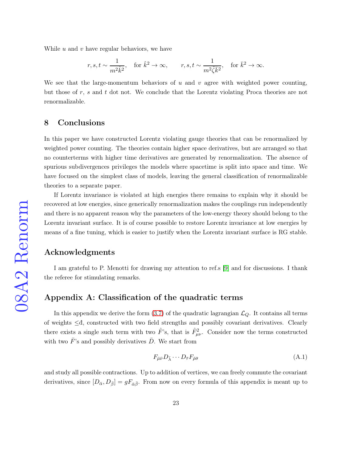While  $u$  and  $v$  have regular behaviors, we have

$$
r,s,t\sim \frac{1}{m^2\tilde{k}^2},\quad \text{for } \hat{k}^2\to \infty,\qquad r,s,t\sim \frac{1}{m^2\tilde{\zeta}\bar{k}^2},\quad \text{for } \bar{k}^2\to \infty.
$$

We see that the large-momentum behaviors of  $u$  and  $v$  agree with weighted power counting, but those of  $r$ ,  $s$  and  $t$  dot not. We conclude that the Lorentz violating Proca theories are not renormalizable.

## 8 Conclusions

In this paper we have constructed Lorentz violating gauge theories that can be renormalized by weighted power counting. The theories contain higher space derivatives, but are arranged so that no counterterms with higher time derivatives are generated by renormalization. The absence of spurious subdivergences privileges the models where spacetime is split into space and time. We have focused on the simplest class of models, leaving the general classification of renormalizable theories to a separate paper.

If Lorentz invariance is violated at high energies there remains to explain why it should be recovered at low energies, since generically renormalization makes the couplings run independently and there is no apparent reason why the parameters of the low-energy theory should belong to the Lorentz invariant surface. It is of course possible to restore Lorentz invariance at low energies by means of a fine tuning, which is easier to justify when the Lorentz invariant surface is RG stable.

### Acknowledgments

I am grateful to P. Menotti for drawing my attention to ref.s [\[9\]](#page-30-2) and for discussions. I thank the referee for stimulating remarks.

## Appendix A: Classification of the quadratic terms

In this appendix we derive the form  $(3.7)$  of the quadratic lagrangian  $\mathcal{L}_Q$ . It contains all terms of weights ≤đ, constructed with two field strengths and possibly covariant derivatives. Clearly there exists a single such term with two  $\hat{F}$ 's, that is  $\hat{F}^2_{\mu\nu}$ . Consider now the terms constructed with two  $\bar{F}$ 's and possibly derivatives  $\bar{D}$ . We start from

$$
F_{\bar{\mu}\bar{\nu}}D_{\bar{\lambda}}\cdots D_{\bar{\tau}}F_{\bar{\rho}\bar{\sigma}}\tag{A.1}
$$

and study all possible contractions. Up to addition of vertices, we can freely commute the covariant derivatives, since  $[D_{\bar{\alpha}}, D_{\bar{\beta}}] = gF_{\bar{\alpha}\bar{\beta}}$ . From now on every formula of this appendix is meant up to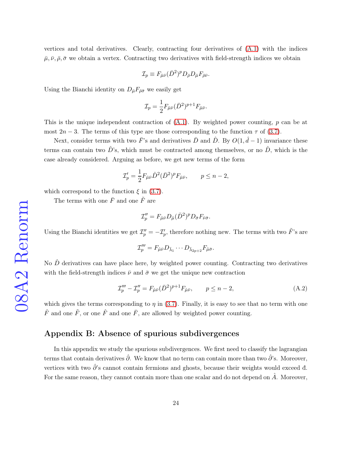vertices and total derivatives. Clearly, contracting four derivatives of [\(A.1\)](#page-24-0) with the indices  $\bar{\mu}, \bar{\nu}, \bar{\rho}, \bar{\sigma}$  we obtain a vertex. Contracting two derivatives with field-strength indices we obtain

$$
\mathcal{I}_p \equiv F_{\bar{\mu}\bar{\nu}} (\bar{D}^2)^p D_{\bar{\rho}} D_{\bar{\mu}} F_{\bar{\rho}\bar{\nu}}.
$$

Using the Bianchi identity on  $D_{\bar{\mu}}F_{\bar{\rho}\bar{\sigma}}$  we easily get

$$
\mathcal{I}_p = \frac{1}{2} F_{\bar{\mu}\bar{\nu}} (\bar{D}^2)^{p+1} F_{\bar{\mu}\bar{\nu}}.
$$

This is the unique independent contraction of  $(A.1)$ . By weighted power counting, p can be at most  $2n-3$ . The terms of this type are those corresponding to the function  $\tau$  of [\(3.7\)](#page-5-0).

Next, consider terms with two  $\bar{F}$ 's and derivatives  $\bar{D}$  and  $\hat{D}$ . By  $O(1,\hat{d}-1)$  invariance these terms can contain two  $\hat{D}$ 's, which must be contracted among themselves, or no  $\hat{D}$ , which is the case already considered. Arguing as before, we get new terms of the form

$$
\mathcal{I}_p' = \frac{1}{2} F_{\bar{\mu}\bar{\nu}} \hat{D}^2 (\bar{D}^2)^p F_{\bar{\mu}\bar{\nu}}, \qquad p \le n - 2,
$$

which correspond to the function  $\xi$  in [\(3.7\)](#page-5-0).

The terms with one  $\bar{F}$  and one  $\tilde{F}$  are

$$
\mathcal{I}_p'' = F_{\hat{\mu}\bar{\nu}} D_{\hat{\mu}} (\bar{D}^2)^p D_{\bar{\sigma}} F_{\bar{\nu}\bar{\sigma}}.
$$

Using the Bianchi identities we get  $\mathcal{I}_p'' = -\mathcal{I}_p'$ , therefore nothing new. The terms with two  $\tilde{F}$ 's are

$$
\mathcal{I}_{p}'''=F_{\hat{\mu}\bar{\nu}}D_{\bar{\lambda}_{1}}\cdots D_{\bar{\lambda}_{2p+2}}F_{\hat{\mu}\bar{\sigma}}.
$$

No  $\hat{D}$  derivatives can have place here, by weighted power counting. Contracting two derivatives with the field-strength indices  $\bar{\nu}$  and  $\bar{\sigma}$  we get the unique new contraction

$$
\mathcal{I}_{p}''' - \mathcal{I}_{p}'' = F_{\hat{\mu}\bar{\nu}} (\bar{D}^{2})^{p+1} F_{\hat{\mu}\bar{\nu}}, \qquad p \le n - 2,
$$
\n(A.2)

which gives the terms corresponding to  $\eta$  in [\(3.7\)](#page-5-0). Finally, it is easy to see that no term with one  $\hat{F}$  and one  $\tilde{F}$ , or one  $\hat{F}$  and one  $\bar{F}$ , are allowed by weighted power counting.

## Appendix B: Absence of spurious subdivergences

In this appendix we study the spurious subdivergences. We first need to classify the lagrangian terms that contain derivatives  $\hat{\partial}$ . We know that no term can contain more than two  $\hat{\partial}$ 's. Moreover, vertices with two  $\hat{\partial}$ 's cannot contain fermions and ghosts, because their weights would exceed đ. For the same reason, they cannot contain more than one scalar and do not depend on  $\tilde{A}$ . Moreover,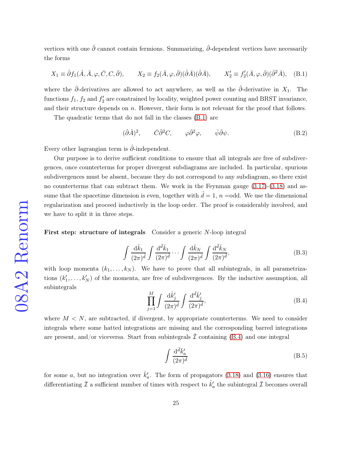vertices with one  $\hat{\partial}$  cannot contain fermions. Summarizing,  $\hat{\partial}$ -dependent vertices have necessarily the forms

<span id="page-24-0"></span>
$$
X_1 \equiv \hat{\partial} f_1(\hat{A}, \bar{A}, \varphi, \bar{C}, C, \bar{\partial}), \qquad X_2 \equiv f_2(\bar{A}, \varphi, \bar{\partial})(\hat{\partial} \bar{A})(\hat{\partial} \bar{A}), \qquad X_2' \equiv f_2'(\bar{A}, \varphi, \bar{\partial})(\hat{\partial}^2 \bar{A}), \quad (B.1)
$$

where the  $\bar{\partial}$ -derivatives are allowed to act anywhere, as well as the  $\hat{\partial}$ -derivative in  $X_1$ . The functions  $f_1$ ,  $f_2$  and  $f'_2$  $\mathbf{Z}'_2$  are constrained by locality, weighted power counting and BRST invariance, and their structure depends on  $n$ . However, their form is not relevant for the proof that follows.

The quadratic terms that do not fall in the classes [\(B.1\)](#page-24-0) are

<span id="page-24-4"></span>
$$
(\hat{\partial}\hat{A})^2, \qquad \bar{C}\hat{\partial}^2 C, \qquad \varphi \hat{\partial}^2 \varphi, \qquad \bar{\psi}\hat{\partial}\psi.
$$
 (B.2)

Every other lagrangian term is  $\hat{\partial}$ -independent.

Our purpose is to derive sufficient conditions to ensure that all integrals are free of subdivergences, once counterterms for proper divergent subdiagrams are included. In particular, spurious subdivergences must be absent, because they do not correspond to any subdiagram, so there exist no counterterms that can subtract them. We work in the Feynman gauge [\(3.17\)](#page-7-1)-[\(3.18\)](#page-7-2) and assume that the spacetime dimension is even, together with  $d = 1$ ,  $n =$ odd. We use the dimensional regularization and proceed inductively in the loop order. The proof is considerably involved, and we have to split it in three steps.

First step: structure of integrals Consider a generic N-loop integral

<span id="page-24-2"></span>
$$
\int \frac{\mathrm{d}\hat{k}_1}{(2\pi)^{\hat{d}}} \int \frac{\mathrm{d}^{\bar{d}}\bar{k}_1}{(2\pi)^{\bar{d}}} \cdots \int \frac{\mathrm{d}\hat{k}_N}{(2\pi)^{\hat{d}}} \int \frac{\mathrm{d}^{\bar{d}}\bar{k}_N}{(2\pi)^{\bar{d}}},\tag{B.3}
$$

with loop momenta  $(k_1, \ldots, k_N)$ . We have to prove that all subintegrals, in all parametrizations  $(k_1)$  $k'_1, \ldots, k'_N$  of the momenta, are free of subdivergences. By the inductive assumption, all subintegrals

<span id="page-24-1"></span>
$$
\prod_{j=1}^{M} \int \frac{\mathrm{d}\hat{k}'_j}{(2\pi)^{\hat{d}}} \int \frac{\mathrm{d}^{\bar{d}}\bar{k}'_j}{(2\pi)^{\bar{d}}},\tag{B.4}
$$

where  $M < N$ , are subtracted, if divergent, by appropriate counterterms. We need to consider integrals where some hatted integrations are missing and the corresponding barred integrations are present, and/or viceversa. Start from subintegrals  $\mathcal I$  containing [\(B.4\)](#page-24-1) and one integral

<span id="page-24-3"></span>
$$
\int \frac{\mathrm{d}^{\bar{d}}\bar{k}'_a}{(2\pi)^{\bar{d}}}\tag{B.5}
$$

for some a, but no integration over  $\hat{k}'_c$  $a<sub>a</sub>$ . The form of propagators  $(3.18)$  and  $(3.16)$  ensures that differentiating  $\bar{\mathcal{I}}$  a sufficient number of times with respect to  $\hat{k}'_c$  $a_a^\prime$  the subintegral  $\bar{\mathcal{I}}$  becomes overall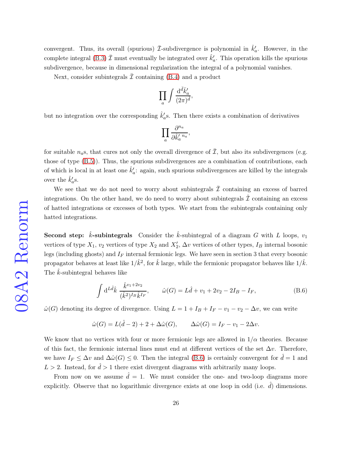convergent. Thus, its overall (spurious)  $\bar{\mathcal{I}}$ -subdivergence is polynomial in  $\hat{k}'_c$  $a<sub>a</sub>$ . However, in the complete integral [\(B.3\)](#page-24-2)  $\bar{\mathcal{I}}$  must eventually be integrated over  $\hat{k}'_c$  $a<sub>a</sub>$ . This operation kills the spurious subdivergence, because in dimensional regularization the integral of a polynomial vanishes.

Next, consider subintegrals  $\bar{\mathcal{I}}$  containing [\(B.4\)](#page-24-1) and a product

$$
\prod_a \int \frac{\mathrm{d}^{\bar{d}}\bar{k}'_a}{(2\pi)^{\bar{d}}},
$$

but no integration over the corresponding  $\hat{k}'_c$  $a'_{a}$ s. Then there exists a combination of derivatives

$$
\prod_a \frac{\partial^{n_a}}{\partial \hat{k}'_a{}^{n_a}},
$$

for suitable  $n_a$ s, that cures not only the overall divergence of  $\overline{\mathcal{I}}$ , but also its subdivergences (e.g. those of type [\(B.5\)](#page-24-3)). Thus, the spurious subdivergences are a combination of contributions, each of which is local in at least one  $\hat{k}'_c$  $a'$ : again, such spurious subdivergences are killed by the integrals over the  $\hat{k}'_c$  $a^{\prime}$ s.

We see that we do not need to worry about subintegrals  $\bar{\mathcal{I}}$  containing an excess of barred integrations. On the other hand, we do need to worry about subintegrals  $\hat{\mathcal{I}}$  containing an excess of hatted integrations or excesses of both types. We start from the subintegrals containing only hatted integrations.

**Second step:** *k*-subintegrals Consider the *k*-subintegral of a diagram G with L loops,  $v_1$ vertices of type  $X_1$ ,  $v_2$  vertices of type  $X_2$  and  $X'_2$ ,  $\Delta v$  vertices of other types,  $I_B$  internal bosonic legs (including ghosts) and  $I_F$  internal fermionic legs. We have seen in section 3 that every bosonic propagator behaves at least like  $1/\hat{k}^2$ , for  $\hat{k}$  large, while the fermionic propagator behaves like  $1/\hat{k}$ . The  $\hat{k}$ -subintegral behaves like

<span id="page-25-0"></span>
$$
\int d^{L\hat{d}}\hat{k} \frac{\hat{k}^{v_1+2v_2}}{(\hat{k}^2)^{I_B}\hat{k}^{I_F}}, \qquad \hat{\omega}(G) = L\hat{d} + v_1 + 2v_2 - 2I_B - I_F,
$$
\n(B.6)

 $\hat{\omega}(G)$  denoting its degree of divergence. Using  $L = 1 + I_B + I_F - v_1 - v_2 - \Delta v$ , we can write

$$
\hat{\omega}(G) = L(\hat{d} - 2) + 2 + \Delta \hat{\omega}(G), \qquad \Delta \hat{\omega}(G) = I_F - v_1 - 2\Delta v.
$$

We know that no vertices with four or more fermionic legs are allowed in  $1/\alpha$  theories. Because of this fact, the fermionic internal lines must end at different vertices of the set  $\Delta v$ . Therefore, we have  $I_F \leq \Delta v$  and  $\Delta \hat{\omega}(G) \leq 0$ . Then the integral [\(B.6\)](#page-25-0) is certainly convergent for  $\hat{d} = 1$  and  $L > 2$ . Instead, for  $\hat{d} > 1$  there exist divergent diagrams with arbitrarily many loops.

From now on we assume  $\hat{d} = 1$ . We must consider the one- and two-loop diagrams more explicitly. Observe that no logarithmic divergence exists at one loop in odd (i.e.  $\hat{d}$ ) dimensions.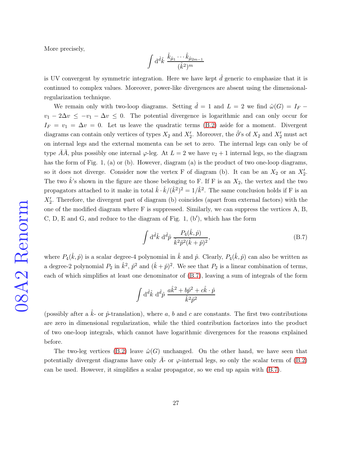More precisely,

$$
\int\mathrm{d}^{\hat d}\hat k\;\frac{\hat k_{\hat\mu_1}\cdots \hat k_{\hat\mu_{2m-1}}}{(\hat k^2)^m}
$$

is UV convergent by symmetric integration. Here we have kept  $\hat{d}$  generic to emphasize that it is continued to complex values. Moreover, power-like divergences are absent using the dimensionalregularization technique.

We remain only with two-loop diagrams. Setting  $\hat{d} = 1$  and  $L = 2$  we find  $\hat{\omega}(G) = I_F$  $v_1 - 2\Delta v \leq -v_1 - \Delta v \leq 0$ . The potential divergence is logarithmic and can only occur for  $I_F = v_1 = \Delta v = 0$ . Let us leave the quadratic terms [\(B.2\)](#page-24-4) aside for a moment. Divergent diagrams can contain only vertices of types  $X_2$  and  $X'_2$ . Moreover, the  $\hat{\partial}$ 's of  $X_2$  and  $X'_2$  must act on internal legs and the external momenta can be set to zero. The internal legs can only be of type AA, plus possibly one internal  $\varphi$ -leg. At  $L = 2$  we have  $v_2 + 1$  internal legs, so the diagram has the form of Fig. 1, (a) or (b). However, diagram (a) is the product of two one-loop diagrams, so it does not diverge. Consider now the vertex F of diagram (b). It can be an  $X_2$  or an  $X_2'$ . The two  $\hat{k}$ 's shown in the figure are those belonging to F. If F is an  $X_2$ , the vertex and the two propagators attached to it make in total  $\hat{k} \cdot \hat{k}/(\hat{k}^2)^2 = 1/\hat{k}^2$ . The same conclusion holds if F is an  $X_2'$ . Therefore, the divergent part of diagram (b) coincides (apart from external factors) with the one of the modified diagram where F is suppressed. Similarly, we can suppress the vertices A, B,  $C, D, E$  and  $G$ , and reduce to the diagram of Fig. 1,  $(b')$ , which has the form

<span id="page-26-0"></span>
$$
\int d^{\hat{d}}\hat{k} \ d^{\hat{d}}\hat{p} \ \frac{P_4(\hat{k}, \hat{p})}{\hat{k}^2 \hat{p}^2 (\hat{k} + \hat{p})^2},
$$
\n(B.7)

where  $P_4(\hat{k},\hat{p})$  is a scalar degree-4 polynomial in  $\hat{k}$  and  $\hat{p}$ . Clearly,  $P_4(\hat{k},\hat{p})$  can also be written as a degree-2 polynomial  $P_2$  in  $\hat{k}^2$ ,  $\hat{p}^2$  and  $(\hat{k} + \hat{p})^2$ . We see that  $P_2$  is a linear combination of terms, each of which simplifies at least one denominator of [\(B.7\)](#page-26-0), leaving a sum of integrals of the form

$$
\int d\hat{i} \hat{k} d\hat{i} \hat{p} \frac{a\hat{k}^2 + b\hat{p}^2 + c\hat{k} \cdot \hat{p}}{\hat{k}^2 \hat{p}^2}
$$

(possibly after a  $\hat{k}$ - or  $\hat{p}$ -translation), where a, b and c are constants. The first two contributions are zero in dimensional regularization, while the third contribution factorizes into the product of two one-loop integrals, which cannot have logarithmic divergences for the reasons explained before.

The two-leg vertices [\(B.2\)](#page-24-4) leave  $\hat{\omega}(G)$  unchanged. On the other hand, we have seen that potentially divergent diagrams have only  $\bar{A}$ - or  $\varphi$ -internal legs, so only the scalar term of [\(B.2\)](#page-24-4) can be used. However, it simplifies a scalar propagator, so we end up again with [\(B.7\)](#page-26-0).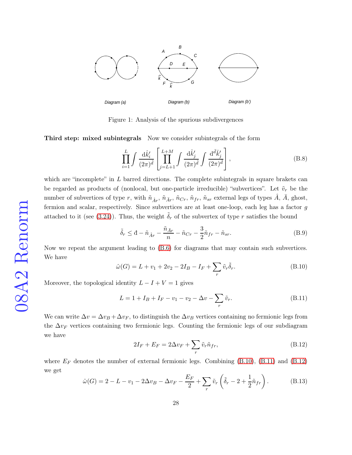

Figure 1: Analysis of the spurious subdivergences

Third step: mixed subintegrals Now we consider subintegrals of the form

$$
\prod_{i=1}^{L} \int \frac{\mathrm{d}\hat{k}'_i}{(2\pi)^{\hat{d}}} \left[ \prod_{j=L+1}^{L+M} \int \frac{\mathrm{d}\hat{k}'_j}{(2\pi)^{\hat{d}}} \int \frac{\mathrm{d}^{\bar{d}}\bar{k}'_j}{(2\pi)^{\bar{d}}} \right],\tag{B.8}
$$

which are "incomplete" in  $L$  barred directions. The complete subintegrals in square brakets can be regarded as products of (nonlocal, but one-particle irreducible) "subvertices". Let  $\tilde{v}_r$  be the number of subvertices of type r, with  $\tilde{n}_{\hat{A}r}$ ,  $\tilde{n}_{\hat{A}r}$ ,  $\tilde{n}_{Cr}$ ,  $\tilde{n}_{fr}$ ,  $\tilde{n}_{sr}$  external legs of types  $\hat{A}$ ,  $\bar{A}$ , ghost, fermion and scalar, respectively. Since subvertices are at least one-loop, each leg has a factor g attached to it (see [\(3.24\)](#page-10-0)). Thus, the weight  $\tilde{\delta}_r$  of the subvertex of type r satisfies the bound

<span id="page-27-4"></span>
$$
\tilde{\delta}_r \leq \mathbf{d} - \tilde{n}_{\hat{A}r} - \frac{\tilde{n}_{\bar{A}r}}{n} - \tilde{n}_{Cr} - \frac{3}{2}\tilde{n}_{fr} - \tilde{n}_{sr}.
$$
\n(B.9)

Now we repeat the argument leading to [\(B.6\)](#page-25-0) for diagrams that may contain such subvertices. We have

<span id="page-27-0"></span>
$$
\hat{\omega}(G) = L + v_1 + 2v_2 - 2I_B - I_F + \sum_r \tilde{v}_r \tilde{\delta}_r.
$$
\n(B.10)

Moreover, the topological identity  $L - I + V = 1$  gives

<span id="page-27-1"></span>
$$
L = 1 + I_B + I_F - v_1 - v_2 - \Delta v - \sum_r \tilde{v}_r.
$$
 (B.11)

We can write  $\Delta v = \Delta v_B + \Delta v_F$ , to distinguish the  $\Delta v_B$  vertices containing no fermionic legs from the  $\Delta v_F$  vertices containing two fermionic legs. Counting the fermionic legs of our subdiagram we have

<span id="page-27-2"></span>
$$
2I_F + E_F = 2\Delta v_F + \sum_r \tilde{v}_r \tilde{n}_{fr},\tag{B.12}
$$

where  $E_F$  denotes the number of external fermionic legs. Combining [\(B.10\)](#page-27-0), [\(B.11\)](#page-27-1) and [\(B.12\)](#page-27-2) we get

<span id="page-27-3"></span>
$$
\hat{\omega}(G) = 2 - L - v_1 - 2\Delta v_B - \Delta v_F - \frac{E_F}{2} + \sum_r \tilde{v}_r \left( \tilde{\delta}_r - 2 + \frac{1}{2} \tilde{n}_{fr} \right). \tag{B.13}
$$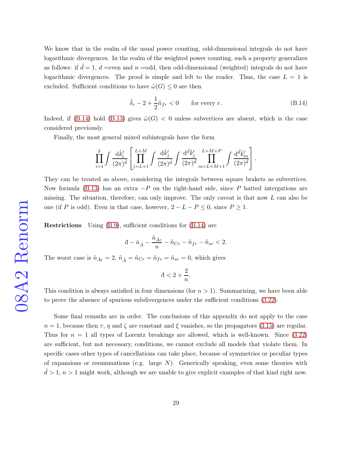We know that in the realm of the usual power counting, odd-dimensional integrals do not have logarithmic divergences. In the realm of the weighted power counting, such a property generalizes as follows: if  $\hat{d} = 1$ ,  $d$  =even and  $n$  =odd, then odd-dimensional (weighted) integrals do not have logarithmic divergences. The proof is simple and left to the reader. Thus, the case  $L = 1$  is excluded. Sufficient conditions to have  $\hat{\omega}(G) \leq 0$  are then

<span id="page-28-0"></span>
$$
\tilde{\delta}_r - 2 + \frac{1}{2}\tilde{n}_{fr} < 0 \qquad \text{for every } r. \tag{B.14}
$$

Indeed, if [\(B.14\)](#page-28-0) hold [\(B.13\)](#page-27-3) gives  $\hat{\omega}(G) < 0$  unless subvertices are absent, which is the case considered previously.

Finally, the most general mixed subintegrals have the form

$$
\prod_{i=1}^L \int \frac{\mathrm{d} \widehat{k}_i'}{(2\pi)^{\widehat{d}}} \left[ \prod_{j=L+1}^{L+M} \int \frac{\mathrm{d} \widehat{k}_j'}{(2\pi)^{\widehat{d}}} \int \frac{\mathrm{d}^{\bar{d}} \overline{k}_j'}{(2\pi)^{\bar{d}}} \prod_{m=L+M+1}^{L+M+P} \int \frac{\mathrm{d}^{\bar{d}} \overline{k}_m'}{(2\pi)^{\overline{d}}} \right].
$$

They can be treated as above, considering the integrals between square brakets as subvertices. Now formula [\(B.13\)](#page-27-3) has an extra  $-P$  on the right-hand side, since P hatted intergations are missing. The situation, therefore, can only improve. The only caveat is that now  $L$  can also be one (if P is odd). Even in that case, however,  $2 - L - P \leq 0$ , since  $P \geq 1$ .

Restrictions Using [\(B.9\)](#page-27-4), sufficient conditions for [\(B.14\)](#page-28-0) are

$$
\mathrm{d}-\tilde{n}_{\hat{A}}-\frac{\tilde{n}_{\bar{A}r}}{n}-\tilde{n}_{Cr}-\tilde{n}_{fr}-\tilde{n}_{sr}<2.
$$

The worst case is  $\tilde{n}_{\bar{A}r} = 2$ ,  $\tilde{n}_{\hat{A}} = \tilde{n}_{Cr} = \tilde{n}_{fr} = \tilde{n}_{sr} = 0$ , which gives

$$
d < 2 + \frac{2}{n}.
$$

This condition is always satisfied in four dimensions (for  $n > 1$ ). Summarizing, we have been able to prove the absence of spurious subdivergences under the sufficient conditions [\(3.22\)](#page-10-1).

Some final remarks are in order. The conclusions of this appendix do not apply to the case  $n = 1$ , because then  $\tau$ ,  $\eta$  and  $\zeta$  are constant and  $\xi$  vanishes, so the propagators [\(3.15\)](#page-6-4) are regular. Thus for  $n = 1$  all types of Lorentz breakings are allowed, which is well-known. Since  $(3.22)$ are sufficient, but not necessary, conditions, we cannot exclude all models that violate them. In specific cases other types of cancellations can take place, because of symmetries or peculiar types of expansions or resummations (e.g. large  $N$ ). Generically speaking, even some theories with  $d > 1$ ,  $n > 1$  might work, although we are unable to give explicit examples of that kind right now.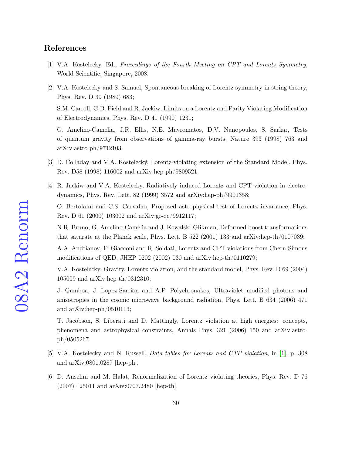#### <span id="page-29-0"></span>References

- <span id="page-29-1"></span>[1] V.A. Kostelecky, Ed., Proceedings of the Fourth Meeting on CPT and Lorentz Symmetry, World Scientific, Singapore, 2008.
- [2] V.A. Kostelecky and S. Samuel, Spontaneous breaking of Lorentz symmetry in string theory, Phys. Rev. D 39 (1989) 683;

S.M. Carroll, G.B. Field and R. Jackiw, Limits on a Lorentz and Parity Violating Modification of Electrodynamics, Phys. Rev. D 41 (1990) 1231;

G. Amelino-Camelia, J.R. Ellis, N.E. Mavromatos, D.V. Nanopoulos, S. Sarkar, Tests of quantum gravity from observations of gamma-ray bursts, Nature 393 (1998) 763 and arXiv:astro-ph/9712103.

- <span id="page-29-3"></span><span id="page-29-2"></span>[3] D. Colladay and V.A. Kostelecký, Lorentz-violating extension of the Standard Model, Phys. Rev. D58 (1998) 116002 and arXiv:hep-ph/9809521.
- [4] R. Jackiw and V.A. Kostelecky, Radiatively induced Lorentz and CPT violation in electrodynamics, Phys. Rev. Lett. 82 (1999) 3572 and arXiv:hep-ph/9901358;

O. Bertolami and C.S. Carvalho, Proposed astrophysical test of Lorentz invariance, Phys. Rev. D 61 (2000) 103002 and arXiv:gr-qc/9912117;

N.R. Bruno, G. Amelino-Camelia and J. Kowalski-Glikman, Deformed boost transformations that saturate at the Planck scale, Phys. Lett. B 522 (2001) 133 and arXiv:hep-th/0107039;

A.A. Andrianov, P. Giacconi and R. Soldati, Lorentz and CPT violations from Chern-Simons modifications of QED, JHEP 0202 (2002) 030 and arXiv:hep-th/0110279;

V.A. Kostelecky, Gravity, Lorentz violation, and the standard model, Phys. Rev. D 69 (2004) 105009 and arXiv:hep-th/0312310;

J. Gamboa, J. Lopez-Sarrion and A.P. Polychronakos, Ultraviolet modified photons and anisotropies in the cosmic microwave background radiation, Phys. Lett. B 634 (2006) 471 and arXiv:hep-ph/0510113;

T. Jacobson, S. Liberati and D. Mattingly, Lorentz violation at high energies: concepts, phenomena and astrophysical constraints, Annals Phys. 321 (2006) 150 and arXiv:astroph/0505267.

- <span id="page-29-5"></span><span id="page-29-4"></span>[5] V.A. Kostelecky and N. Russell, Data tables for Lorentz and CTP violation, in [\[1\]](#page-29-0), p. 308 and arXiv:0801.0287 [hep-ph].
- [6] D. Anselmi and M. Halat, Renormalization of Lorentz violating theories, Phys. Rev. D 76 (2007) 125011 and arXiv:0707.2480 [hep-th].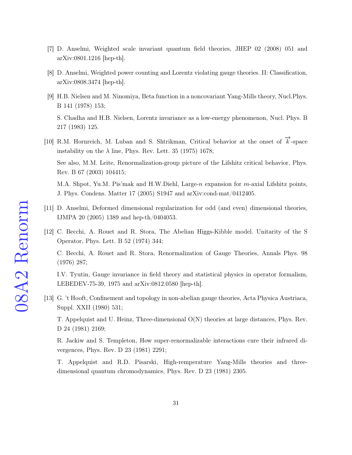- <span id="page-30-1"></span><span id="page-30-0"></span>[7] D. Anselmi, Weighted scale invariant quantum field theories, JHEP 02 (2008) 051 and arXiv:0801.1216 [hep-th].
- <span id="page-30-2"></span>[8] D. Anselmi, Weighted power counting and Lorentz violating gauge theories. II: Classification, arXiv:0808.3474 [hep-th].
- [9] H.B. Nielsen and M. Ninomiya, Beta function in a noncovariant Yang-Mills theory, Nucl.Phys. B 141 (1978) 153;

S. Chadha and H.B. Nielsen, Lorentz invariance as a low-energy phenomenon, Nucl. Phys. B 217 (1983) 125.

<span id="page-30-3"></span>[10] R.M. Hornreich, M. Luban and S. Shtrikman, Critical behavior at the onset of  $\vec{k}$ -space instability on the  $\lambda$  line, Phys. Rev. Lett. 35 (1975) 1678;

See also, M.M. Leite, Renormalization-group picture of the Lifshitz critical behavior, Phys. Rev. B 67 (2003) 104415;

M.A. Shpot, Yu.M. Pis'mak and H.W.Diehl, Large-n expansion for m-axial Lifshitz points, J. Phys. Condens. Matter 17 (2005) S1947 and arXiv:cond-mat/0412405.

- <span id="page-30-5"></span><span id="page-30-4"></span>[11] D. Anselmi, Deformed dimensional regularization for odd (and even) dimensional theories, IJMPA 20 (2005) 1389 and hep-th/0404053.
- [12] C. Becchi, A. Rouet and R. Stora, The Abelian Higgs-Kibble model. Unitarity of the S Operator, Phys. Lett. B 52 (1974) 344;

C. Becchi, A. Rouet and R. Stora, Renormalization of Gauge Theories, Annals Phys. 98 (1976) 287;

I.V. Tyutin, Gauge invariance in field theory and statistical physics in operator formalism, LEBEDEV-75-39, 1975 and arXiv:0812.0580 [hep-th].

<span id="page-30-6"></span>[13] G. 't Hooft, Confinement and topology in non-abelian gauge theories, Acta Physica Austriaca, Suppl. XXII (1980) 531;

T. Appelquist and U. Heinz, Three-dimensional O(N) theories at large distances, Phys. Rev. D 24 (1981) 2169;

R. Jackiw and S. Templeton, How super-renormalizable interactions cure their infrared divergences, Phys. Rev. D 23 (1981) 2291;

T. Appelquist and R.D. Pisarski, High-remperature Yang-Mills theories and threedimensional quantum chromodynamics, Phys. Rev. D 23 (1981) 2305.